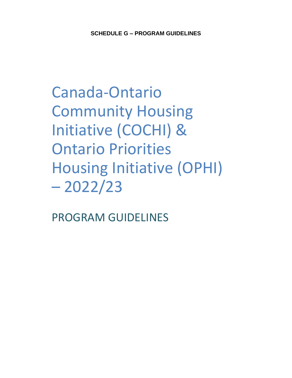Canada-Ontario Community Housing Initiative (COCHI) & Ontario Priorities Housing Initiative (OPHI) – 2022/23

PROGRAM GUIDELINES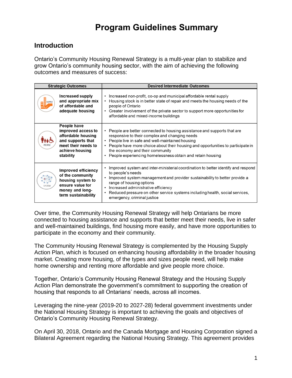# **Program Guidelines Summary**

#### **Introduction**

Ontario's Community Housing Renewal Strategy is a multi-year plan to stabilize and grow Ontario's community housing sector, with the aim of achieving the following outcomes and measures of success:

| <b>Strategic Outcomes</b> |                                                                                                                                     | <b>Desired Intermediate Outcomes</b>                                                                                                                                                                                                                                                                                                                                   |
|---------------------------|-------------------------------------------------------------------------------------------------------------------------------------|------------------------------------------------------------------------------------------------------------------------------------------------------------------------------------------------------------------------------------------------------------------------------------------------------------------------------------------------------------------------|
|                           | Increased supply<br>and appropriate mix<br>of affordable and<br>adequate housing                                                    | Increased non-profit, co-op and municipal affordable rental supply<br>Housing stock is in better state of repair and meets the housing needs of the<br>people of Ontario<br>Greater involvement of the private sector to support more opportunities for<br>$\bullet$<br>affordable and mixed-income buildings                                                          |
|                           | People have<br>improved access to<br>affordable housing<br>and supports that<br>meet their needs to<br>achieve housing<br>stability | People are better connected to housing assistance and supports that are<br>responsive to their complex and changing needs<br>People live in safe and well-maintained housing<br>People have more choice about their housing and opportunities to participate in<br>the economy and their community<br>People experiencing homelessness obtain and retain housing       |
|                           | Improved efficiency<br>of the community<br>housing system to<br>ensure value for<br>money and long-<br>term sustainability          | Improved system and inter-ministerial coordination to better identify and respond<br>to people's needs<br>Improved system management and provider sustainability to better provide a<br>range of housing options<br>Increased administrative efficiency<br>Reduced pressure on other service systems including health, social services,<br>emergency, criminal justice |

Over time, the Community Housing Renewal Strategy will help Ontarians be more connected to housing assistance and supports that better meet their needs, live in safer and well-maintained buildings, find housing more easily, and have more opportunities to participate in the economy and their community.

The Community Housing Renewal Strategy is complemented by the Housing Supply Action Plan, which is focused on enhancing housing affordability in the broader housing market. Creating more housing, of the types and sizes people need, will help make home ownership and renting more affordable and give people more choice.

Together, Ontario's Community Housing Renewal Strategy and the Housing Supply Action Plan demonstrate the government's commitment to supporting the creation of housing that responds to all Ontarians' needs, across all incomes.

Leveraging the nine-year (2019-20 to 2027-28) federal government investments under the National Housing Strategy is important to achieving the goals and objectives of Ontario's Community Housing Renewal Strategy.

On April 30, 2018, Ontario and the Canada Mortgage and Housing Corporation signed a Bilateral Agreement regarding the National Housing Strategy. This agreement provides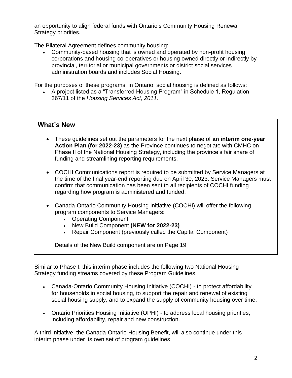an opportunity to align federal funds with Ontario's Community Housing Renewal Strategy priorities.

The Bilateral Agreement defines community housing:

• Community-based housing that is owned and operated by non-profit housing corporations and housing co-operatives or housing owned directly or indirectly by provincial, territorial or municipal governments or district social services administration boards and includes Social Housing.

For the purposes of these programs, in Ontario, social housing is defined as follows:

• A project listed as a "Transferred Housing Program" in Schedule 1, Regulation 367/11 of the *Housing Services Act, 2011*.

#### **What's New**

- These guidelines set out the parameters for the next phase of **an interim one-year Action Plan (for 2022-23)** as the Province continues to negotiate with CMHC on Phase II of the National Housing Strategy, including the province's fair share of funding and streamlining reporting requirements.
- COCHI Communications report is required to be submitted by Service Managers at the time of the final year-end reporting due on April 30, 2023. Service Managers must confirm that communication has been sent to all recipients of COCHI funding regarding how program is administered and funded.
- Canada-Ontario Community Housing Initiative (COCHI) will offer the following program components to Service Managers:
	- Operating Component
	- New Build Component **(NEW for 2022-23)**
	- Repair Component (previously called the Capital Component)

Details of the New Build component are on Page 19

Similar to Phase I, this interim phase includes the following two National Housing Strategy funding streams covered by these Program Guidelines:

- Canada-Ontario Community Housing Initiative (COCHI) to protect affordability for households in social housing, to support the repair and renewal of existing social housing supply, and to expand the supply of community housing over time.
- Ontario Priorities Housing Initiative (OPHI) to address local housing priorities, including affordability, repair and new construction.

A third initiative, the Canada-Ontario Housing Benefit, will also continue under this interim phase under its own set of program guidelines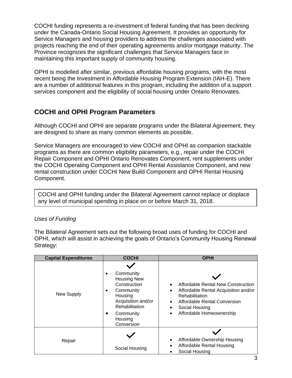COCHI funding represents a re-investment of federal funding that has been declining under the Canada-Ontario Social Housing Agreement. It provides an opportunity for Service Managers and housing providers to address the challenges associated with projects reaching the end of their operating agreements and/or mortgage maturity. The Province recognizes the significant challenges that Service Managers face in maintaining this important supply of community housing.

OPHI is modelled after similar, previous affordable housing programs, with the most recent being the Investment in Affordable Housing Program Extension (IAH-E). There are a number of additional features in this program, including the addition of a support services component and the eligibility of social housing under Ontario Renovates.

#### **COCHI and OPHI Program Parameters**

Although COCHI and OPHI are separate programs under the Bilateral Agreement, they are designed to share as many common elements as possible.

Service Managers are encouraged to view COCHI and OPHI as companion stackable programs as there are common eligibility parameters, e.g., repair under the COCHI Repair Component and OPHI Ontario Renovates Component, rent supplements under the COCHI Operating Component and OPHI Rental Assistance Component, and new rental construction under COCHI New Build Component and OPHI Rental Housing Component.

COCHI and OPHI funding under the Bilateral Agreement cannot replace or displace any level of municipal spending in place on or before March 31, 2018.

#### *Uses of Funding*

The Bilateral Agreement sets out the following broad uses of funding for COCHI and OPHI, which will assist in achieving the goals of Ontario's Community Housing Renewal Strategy:

| <b>Capital Expenditures</b> | <b>COCHI</b>                                                                                                                                                    | <b>OPHI</b>                                                                                                                                                                |
|-----------------------------|-----------------------------------------------------------------------------------------------------------------------------------------------------------------|----------------------------------------------------------------------------------------------------------------------------------------------------------------------------|
| New Supply                  | Community<br><b>Housing New</b><br>Construction<br>Community<br>٠<br>Housing<br>Acquisition and/or<br>Rehabilitation<br>Community<br>٠<br>Housing<br>Conversion | Affordable Rental New Construction<br>Affordable Rental Acquisition and/or<br>Rehabilitation<br>Affordable Rental Conversion<br>Social Housing<br>Affordable Homeownership |
| Repair                      | Social Housing                                                                                                                                                  | Affordable Ownership Housing<br>Affordable Rental Housing<br>Social Housing                                                                                                |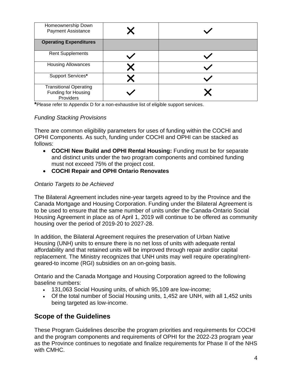| Homeownership Down<br><b>Payment Assistance</b>                   |  |
|-------------------------------------------------------------------|--|
| <b>Operating Expenditures</b>                                     |  |
| <b>Rent Supplements</b>                                           |  |
| <b>Housing Allowances</b>                                         |  |
| Support Services*                                                 |  |
| <b>Transitional Operating</b><br>Funding for Housing<br>Providers |  |

**\***Please refer to Appendix D for a non-exhaustive list of eligible support services.

#### *Funding Stacking Provisions*

There are common eligibility parameters for uses of funding within the COCHI and OPHI Components. As such, funding under COCHI and OPHI can be stacked as follows:

- **COCHI New Build and OPHI Rental Housing:** Funding must be for separate and distinct units under the two program components and combined funding must not exceed 75% of the project cost.
- **COCHI Repair and OPHI Ontario Renovates**

#### *Ontario Targets to be Achieved*

The Bilateral Agreement includes nine-year targets agreed to by the Province and the Canada Mortgage and Housing Corporation. Funding under the Bilateral Agreement is to be used to ensure that the same number of units under the Canada-Ontario Social Housing Agreement in place as of April 1, 2019 will continue to be offered as community housing over the period of 2019-20 to 2027-28.

In addition, the Bilateral Agreement requires the preservation of Urban Native Housing (UNH) units to ensure there is no net loss of units with adequate rental affordability and that retained units will be improved through repair and/or capital replacement. The Ministry recognizes that UNH units may well require operating/rentgeared-to income (RGI) subsidies on an on-going basis.

Ontario and the Canada Mortgage and Housing Corporation agreed to the following baseline numbers:

- 131,063 Social Housing units, of which 95,109 are low-income;
- Of the total number of Social Housing units, 1,452 are UNH, with all 1,452 units being targeted as low-income.

#### **Scope of the Guidelines**

These Program Guidelines describe the program priorities and requirements for COCHI and the program components and requirements of OPHI for the 2022-23 program year as the Province continues to negotiate and finalize requirements for Phase II of the NHS with CMHC.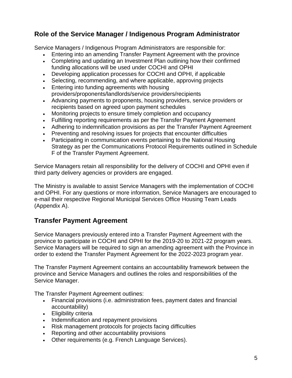### **Role of the Service Manager / Indigenous Program Administrator**

Service Managers / Indigenous Program Administrators are responsible for:

- Entering into an amending Transfer Payment Agreement with the province
- Completing and updating an Investment Plan outlining how their confirmed funding allocations will be used under COCHI and OPHI
- Developing application processes for COCHI and OPHI, if applicable
- Selecting, recommending, and where applicable, approving projects
- Entering into funding agreements with housing providers/proponents/landlords/service providers/recipients
- Advancing payments to proponents, housing providers, service providers or recipients based on agreed upon payment schedules
- Monitoring projects to ensure timely completion and occupancy
- Fulfilling reporting requirements as per the Transfer Payment Agreement
- Adhering to indemnification provisions as per the Transfer Payment Agreement
- Preventing and resolving issues for projects that encounter difficulties
- Participating in communication events pertaining to the National Housing Strategy as per the Communications Protocol Requirements outlined in Schedule F of the Transfer Payment Agreement.

Service Managers retain all responsibility for the delivery of COCHI and OPHI even if third party delivery agencies or providers are engaged.

The Ministry is available to assist Service Managers with the implementation of COCHI and OPHI. For any questions or more information, Service Managers are encouraged to e-mail their respective Regional Municipal Services Office Housing Team Leads (Appendix A).

#### **Transfer Payment Agreement**

Service Managers previously entered into a Transfer Payment Agreement with the province to participate in COCHI and OPHI for the 2019-20 to 2021-22 program years. Service Managers will be required to sign an amending agreement with the Province in order to extend the Transfer Payment Agreement for the 2022-2023 program year.

The Transfer Payment Agreement contains an accountability framework between the province and Service Managers and outlines the roles and responsibilities of the Service Manager.

The Transfer Payment Agreement outlines:

- Financial provisions (i.e. administration fees, payment dates and financial accountability)
- Eligibility criteria
- Indemnification and repayment provisions
- Risk management protocols for projects facing difficulties
- Reporting and other accountability provisions
- Other requirements (e.g. French Language Services).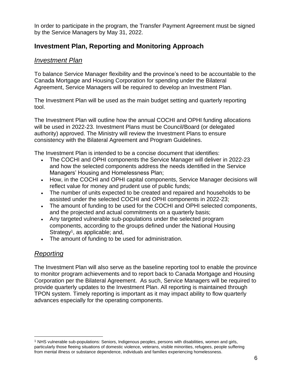In order to participate in the program, the Transfer Payment Agreement must be signed by the Service Managers by May 31, 2022.

### **Investment Plan, Reporting and Monitoring Approach**

#### *Investment Plan*

To balance Service Manager flexibility and the province's need to be accountable to the Canada Mortgage and Housing Corporation for spending under the Bilateral Agreement, Service Managers will be required to develop an Investment Plan.

The Investment Plan will be used as the main budget setting and quarterly reporting tool.

The Investment Plan will outline how the annual COCHI and OPHI funding allocations will be used in 2022-23. Investment Plans must be Council/Board (or delegated authority) approved. The Ministry will review the Investment Plans to ensure consistency with the Bilateral Agreement and Program Guidelines.

The Investment Plan is intended to be a concise document that identifies:

- The COCHI and OPHI components the Service Manager will deliver in 2022-23 and how the selected components address the needs identified in the Service Managers' Housing and Homelessness Plan;
- How, in the COCHI and OPHI capital components, Service Manager decisions will reflect value for money and prudent use of public funds;
- The number of units expected to be created and repaired and households to be assisted under the selected COCHI and OPHI components in 2022-23;
- The amount of funding to be used for the COCHI and OPHI selected components, and the projected and actual commitments on a quarterly basis;
- Any targeted vulnerable sub-populations under the selected program components, according to the groups defined under the National Housing Strategy<sup>1</sup>, as applicable; and,
- The amount of funding to be used for administration.

#### *Reporting*

The Investment Plan will also serve as the baseline reporting tool to enable the province to monitor program achievements and to report back to Canada Mortgage and Housing Corporation per the Bilateral Agreement. As such, Service Managers will be required to provide quarterly updates to the Investment Plan. All reporting is maintained through TPON system. Timely reporting is important as it may impact ability to flow quarterly advances especially for the operating components.

<sup>&</sup>lt;sup>1</sup> NHS vulnerable sub-populations: Seniors, Indigenous peoples, persons with disabilities, women and girls, particularly those fleeing situations of domestic violence, veterans, visible minorities, refugees, people suffering from mental illness or substance dependence, individuals and families experiencing homelessness.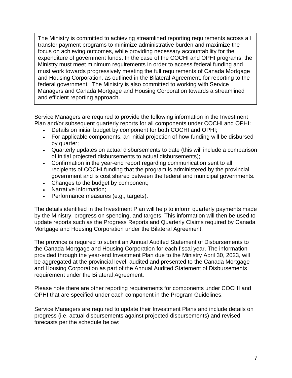The Ministry is committed to achieving streamlined reporting requirements across all transfer payment programs to minimize administrative burden and maximize the focus on achieving outcomes, while providing necessary accountability for the expenditure of government funds. In the case of the COCHI and OPHI programs, the Ministry must meet minimum requirements in order to access federal funding and must work towards progressively meeting the full requirements of Canada Mortgage and Housing Corporation, as outlined in the Bilateral Agreement, for reporting to the federal government. The Ministry is also committed to working with Service Managers and Canada Mortgage and Housing Corporation towards a streamlined and efficient reporting approach.

Service Managers are required to provide the following information in the Investment Plan and/or subsequent quarterly reports for all components under COCHI and OPHI:

- Details on initial budget by component for both COCHI and OPHI;
- For applicable components, an initial projection of how funding will be disbursed by quarter;
- Quarterly updates on actual disbursements to date (this will include a comparison of initial projected disbursements to actual disbursements);
- Confirmation in the year-end report regarding communication sent to all recipients of COCHI funding that the program is administered by the provincial government and is cost shared between the federal and municipal governments.
- Changes to the budget by component;
- Narrative information;
- Performance measures (e.g., targets).

The details identified in the Investment Plan will help to inform quarterly payments made by the Ministry, progress on spending, and targets. This information will then be used to update reports such as the Progress Reports and Quarterly Claims required by Canada Mortgage and Housing Corporation under the Bilateral Agreement.

The province is required to submit an Annual Audited Statement of Disbursements to the Canada Mortgage and Housing Corporation for each fiscal year. The information provided through the year-end Investment Plan due to the Ministry April 30, 2023, will be aggregated at the provincial level, audited and presented to the Canada Mortgage and Housing Corporation as part of the Annual Audited Statement of Disbursements requirement under the Bilateral Agreement.

Please note there are other reporting requirements for components under COCHI and OPHI that are specified under each component in the Program Guidelines.

Service Managers are required to update their Investment Plans and include details on progress (i.e. actual disbursements against projected disbursements) and revised forecasts per the schedule below: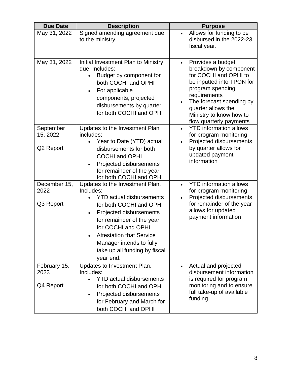| <b>Due Date</b>                   | <b>Description</b>                                                                                                                                                                                                                                                                                                 | <b>Purpose</b>                                                                                                                                                                                                                                                          |
|-----------------------------------|--------------------------------------------------------------------------------------------------------------------------------------------------------------------------------------------------------------------------------------------------------------------------------------------------------------------|-------------------------------------------------------------------------------------------------------------------------------------------------------------------------------------------------------------------------------------------------------------------------|
| May 31, 2022                      | Signed amending agreement due<br>to the ministry.                                                                                                                                                                                                                                                                  | Allows for funding to be<br>$\bullet$<br>disbursed in the 2022-23<br>fiscal year.                                                                                                                                                                                       |
| May 31, 2022                      | Initial Investment Plan to Ministry<br>due. Includes:<br>Budget by component for<br>both COCHI and OPHI<br>For applicable<br>$\bullet$<br>components, projected<br>disbursements by quarter<br>for both COCHI and OPHI                                                                                             | Provides a budget<br>$\bullet$<br>breakdown by component<br>for COCHI and OPHI to<br>be inputted into TPON for<br>program spending<br>requirements<br>The forecast spending by<br>$\bullet$<br>quarter allows the<br>Ministry to know how to<br>flow quarterly payments |
| September<br>15, 2022             | Updates to the Investment Plan<br>includes:<br>Year to Date (YTD) actual                                                                                                                                                                                                                                           | <b>YTD</b> information allows<br>$\bullet$<br>for program monitoring<br>Projected disbursements<br>$\bullet$                                                                                                                                                            |
| Q2 Report                         | disbursements for both<br><b>COCHI and OPHI</b><br>Projected disbursements<br>$\bullet$<br>for remainder of the year<br>for both COCHI and OPHI                                                                                                                                                                    | by quarter allows for<br>updated payment<br>information                                                                                                                                                                                                                 |
| December 15,<br>2022<br>Q3 Report | Updates to the Investment Plan.<br>Includes:<br><b>YTD actual disbursements</b><br>for both COCHI and OPHI<br>Projected disbursements<br>$\bullet$<br>for remainder of the year<br>for COCHI and OPHI<br><b>Attestation that Service</b><br>Manager intends to fully<br>take up all funding by fiscal<br>year end. | <b>YTD</b> information allows<br>$\bullet$<br>for program monitoring<br>Projected disbursements<br>for remainder of the year<br>allows for updated<br>payment information                                                                                               |
| February 15,<br>2023<br>Q4 Report | Updates to Investment Plan.<br>Includes:<br><b>YTD actual disbursements</b><br>for both COCHI and OPHI<br>Projected disbursements<br>$\bullet$<br>for February and March for<br>both COCHI and OPHI                                                                                                                | Actual and projected<br>$\bullet$<br>disbursement information<br>is required for program<br>monitoring and to ensure<br>full take-up of available<br>funding                                                                                                            |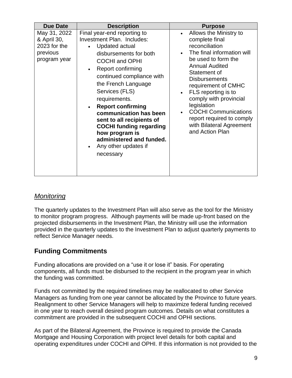| <b>Due Date</b>                                                         | <b>Description</b>                                                                                                                                                                                                                                                                                                                                                                                                                                                                                     | <b>Purpose</b>                                                                                                                                                                                                                                                                                                                                                                                  |
|-------------------------------------------------------------------------|--------------------------------------------------------------------------------------------------------------------------------------------------------------------------------------------------------------------------------------------------------------------------------------------------------------------------------------------------------------------------------------------------------------------------------------------------------------------------------------------------------|-------------------------------------------------------------------------------------------------------------------------------------------------------------------------------------------------------------------------------------------------------------------------------------------------------------------------------------------------------------------------------------------------|
| May 31, 2022<br>& April 30,<br>2023 for the<br>previous<br>program year | Final year-end reporting to<br>Investment Plan. Includes:<br>Updated actual<br>$\bullet$<br>disbursements for both<br><b>COCHI and OPHI</b><br>Report confirming<br>$\bullet$<br>continued compliance with<br>the French Language<br>Services (FLS)<br>requirements.<br><b>Report confirming</b><br>$\bullet$<br>communication has been<br>sent to all recipients of<br><b>COCHI funding regarding</b><br>how program is<br>administered and funded.<br>Any other updates if<br>$\bullet$<br>necessary | Allows the Ministry to<br>complete final<br>reconciliation<br>The final information will<br>be used to form the<br><b>Annual Audited</b><br>Statement of<br><b>Disbursements</b><br>requirement of CMHC<br>FLS reporting is to<br>$\bullet$<br>comply with provincial<br>legislation<br><b>COCHI Communications</b><br>report required to comply<br>with Bilateral Agreement<br>and Action Plan |

#### *Monitoring*

The quarterly updates to the Investment Plan will also serve as the tool for the Ministry to monitor program progress. Although payments will be made up-front based on the projected disbursements in the Investment Plan, the Ministry will use the information provided in the quarterly updates to the Investment Plan to adjust quarterly payments to reflect Service Manager needs.

### **Funding Commitments**

Funding allocations are provided on a "use it or lose it" basis. For operating components, all funds must be disbursed to the recipient in the program year in which the funding was committed.

Funds not committed by the required timelines may be reallocated to other Service Managers as funding from one year cannot be allocated by the Province to future years. Realignment to other Service Managers will help to maximize federal funding received in one year to reach overall desired program outcomes. Details on what constitutes a commitment are provided in the subsequent COCHI and OPHI sections.

As part of the Bilateral Agreement, the Province is required to provide the Canada Mortgage and Housing Corporation with project level details for both capital and operating expenditures under COCHI and OPHI. If this information is not provided to the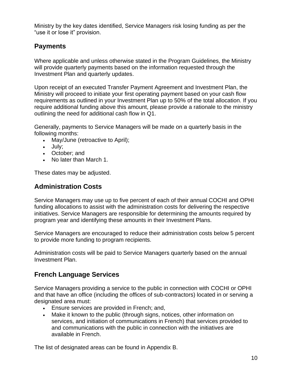Ministry by the key dates identified, Service Managers risk losing funding as per the "use it or lose it" provision.

#### **Payments**

Where applicable and unless otherwise stated in the Program Guidelines, the Ministry will provide quarterly payments based on the information requested through the Investment Plan and quarterly updates.

Upon receipt of an executed Transfer Payment Agreement and Investment Plan, the Ministry will proceed to initiate your first operating payment based on your cash flow requirements as outlined in your Investment Plan up to 50% of the total allocation. If you require additional funding above this amount, please provide a rationale to the ministry outlining the need for additional cash flow in Q1.

Generally, payments to Service Managers will be made on a quarterly basis in the following months:

- May/June (retroactive to April);
- July;
- October; and
- No later than March 1.

These dates may be adjusted.

#### **Administration Costs**

Service Managers may use up to five percent of each of their annual COCHI and OPHI funding allocations to assist with the administration costs for delivering the respective initiatives. Service Managers are responsible for determining the amounts required by program year and identifying these amounts in their Investment Plans.

Service Managers are encouraged to reduce their administration costs below 5 percent to provide more funding to program recipients.

Administration costs will be paid to Service Managers quarterly based on the annual Investment Plan.

#### **French Language Services**

Service Managers providing a service to the public in connection with COCHI or OPHI and that have an office (including the offices of sub-contractors) located in or serving a designated area must:

- Ensure services are provided in French; and,
- Make it known to the public (through signs, notices, other information on services, and initiation of communications in French) that services provided to and communications with the public in connection with the initiatives are available in French.

The list of designated areas can be found in Appendix B.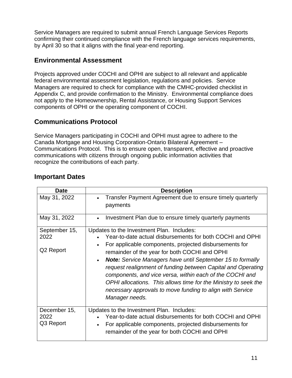Service Managers are required to submit annual French Language Services Reports confirming their continued compliance with the French language services requirements, by April 30 so that it aligns with the final year-end reporting.

#### **Environmental Assessment**

Projects approved under COCHI and OPHI are subject to all relevant and applicable federal environmental assessment legislation, regulations and policies. Service Managers are required to check for compliance with the CMHC-provided checklist in Appendix C, and provide confirmation to the Ministry. Environmental compliance does not apply to the Homeownership, Rental Assistance, or Housing Support Services components of OPHI or the operating component of COCHI.

### **Communications Protocol**

Service Managers participating in COCHI and OPHI must agree to adhere to the Canada Mortgage and Housing Corporation-Ontario Bilateral Agreement – Communications Protocol. This is to ensure open, transparent, effective and proactive communications with citizens through ongoing public information activities that recognize the contributions of each party.

| Date                               | <b>Description</b>                                                                                                                                                                                                                                                                                                                                                                                                                                                                                                                                                                |
|------------------------------------|-----------------------------------------------------------------------------------------------------------------------------------------------------------------------------------------------------------------------------------------------------------------------------------------------------------------------------------------------------------------------------------------------------------------------------------------------------------------------------------------------------------------------------------------------------------------------------------|
| May 31, 2022                       | Transfer Payment Agreement due to ensure timely quarterly<br>payments                                                                                                                                                                                                                                                                                                                                                                                                                                                                                                             |
| May 31, 2022                       | Investment Plan due to ensure timely quarterly payments                                                                                                                                                                                                                                                                                                                                                                                                                                                                                                                           |
| September 15,<br>2022<br>Q2 Report | Updates to the Investment Plan. Includes:<br>Year-to-date actual disbursements for both COCHI and OPHI<br>For applicable components, projected disbursements for<br>remainder of the year for both COCHI and OPHI<br><b>Note:</b> Service Managers have until September 15 to formally<br>$\bullet$<br>request realignment of funding between Capital and Operating<br>components, and vice versa, within each of the COCHI and<br>OPHI allocations. This allows time for the Ministry to seek the<br>necessary approvals to move funding to align with Service<br>Manager needs. |
| December 15,<br>2022<br>Q3 Report  | Updates to the Investment Plan. Includes:<br>Year-to-date actual disbursements for both COCHI and OPHI<br>For applicable components, projected disbursements for<br>$\bullet$<br>remainder of the year for both COCHI and OPHI                                                                                                                                                                                                                                                                                                                                                    |

#### **Important Dates**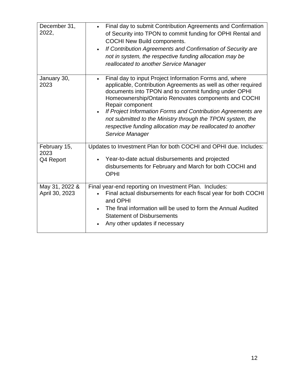| December 31,<br>2022,             | Final day to submit Contribution Agreements and Confirmation<br>of Security into TPON to commit funding for OPHI Rental and<br><b>COCHI New Build components.</b><br>If Contribution Agreements and Confirmation of Security are<br>$\bullet$<br>not in system, the respective funding allocation may be<br>reallocated to another Service Manager                                                                                                                                        |
|-----------------------------------|-------------------------------------------------------------------------------------------------------------------------------------------------------------------------------------------------------------------------------------------------------------------------------------------------------------------------------------------------------------------------------------------------------------------------------------------------------------------------------------------|
| January 30,<br>2023               | Final day to input Project Information Forms and, where<br>$\bullet$<br>applicable, Contribution Agreements as well as other required<br>documents into TPON and to commit funding under OPHI<br>Homeownership/Ontario Renovates components and COCHI<br>Repair component<br>If Project Information Forms and Contribution Agreements are<br>not submitted to the Ministry through the TPON system, the<br>respective funding allocation may be reallocated to another<br>Service Manager |
| February 15,<br>2023<br>Q4 Report | Updates to Investment Plan for both COCHI and OPHI due. Includes:<br>Year-to-date actual disbursements and projected<br>disbursements for February and March for both COCHI and<br><b>OPHI</b>                                                                                                                                                                                                                                                                                            |
| May 31, 2022 &<br>April 30, 2023  | Final year-end reporting on Investment Plan. Includes:<br>Final actual disbursements for each fiscal year for both COCHI<br>and OPHI<br>The final information will be used to form the Annual Audited<br><b>Statement of Disbursements</b><br>Any other updates if necessary                                                                                                                                                                                                              |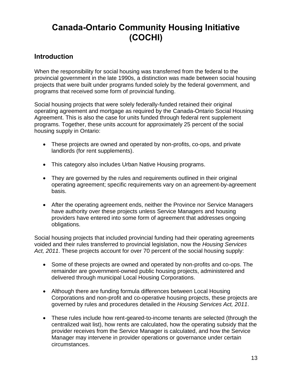# **Canada-Ontario Community Housing Initiative (COCHI)**

### **Introduction**

When the responsibility for social housing was transferred from the federal to the provincial government in the late 1990s, a distinction was made between social housing projects that were built under programs funded solely by the federal government, and programs that received some form of provincial funding.

Social housing projects that were solely federally-funded retained their original operating agreement and mortgage as required by the Canada-Ontario Social Housing Agreement. This is also the case for units funded through federal rent supplement programs. Together, these units account for approximately 25 percent of the social housing supply in Ontario:

- These projects are owned and operated by non-profits, co-ops, and private landlords (for rent supplements).
- This category also includes Urban Native Housing programs.
- They are governed by the rules and requirements outlined in their original operating agreement; specific requirements vary on an agreement-by-agreement basis.
- After the operating agreement ends, neither the Province nor Service Managers have authority over these projects unless Service Managers and housing providers have entered into some form of agreement that addresses ongoing obligations.

Social housing projects that included provincial funding had their operating agreements voided and their rules transferred to provincial legislation, now the *Housing Services Act, 2011*. These projects account for over 70 percent of the social housing supply:

- Some of these projects are owned and operated by non-profits and co-ops. The remainder are government-owned public housing projects, administered and delivered through municipal Local Housing Corporations.
- Although there are funding formula differences between Local Housing Corporations and non-profit and co-operative housing projects, these projects are governed by rules and procedures detailed in the *Housing Services Act, 2011*.
- These rules include how rent-geared-to-income tenants are selected (through the centralized wait list), how rents are calculated, how the operating subsidy that the provider receives from the Service Manager is calculated, and how the Service Manager may intervene in provider operations or governance under certain circumstances.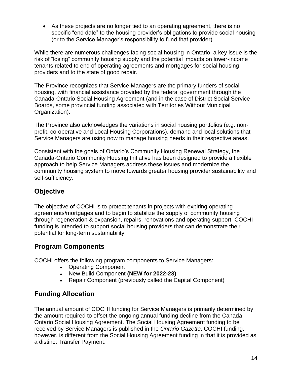• As these projects are no longer tied to an operating agreement, there is no specific "end date" to the housing provider's obligations to provide social housing (or to the Service Manager's responsibility to fund that provider).

While there are numerous challenges facing social housing in Ontario, a key issue is the risk of "losing" community housing supply and the potential impacts on lower-income tenants related to end of operating agreements and mortgages for social housing providers and to the state of good repair.

The Province recognizes that Service Managers are the primary funders of social housing, with financial assistance provided by the federal government through the Canada-Ontario Social Housing Agreement (and in the case of District Social Service Boards, some provincial funding associated with Territories Without Municipal Organization).

The Province also acknowledges the variations in social housing portfolios (e.g. nonprofit, co-operative and Local Housing Corporations), demand and local solutions that Service Managers are using now to manage housing needs in their respective areas.

Consistent with the goals of Ontario's Community Housing Renewal Strategy, the Canada-Ontario Community Housing Initiative has been designed to provide a flexible approach to help Service Managers address these issues and modernize the community housing system to move towards greater housing provider sustainability and self-sufficiency.

### **Objective**

The objective of COCHI is to protect tenants in projects with expiring operating agreements/mortgages and to begin to stabilize the supply of community housing through regeneration & expansion, repairs, renovations and operating support. COCHI funding is intended to support social housing providers that can demonstrate their potential for long-term sustainability.

### **Program Components**

COCHI offers the following program components to Service Managers:

- Operating Component
- New Build Component **(NEW for 2022-23)**
- Repair Component (previously called the Capital Component)

### **Funding Allocation**

The annual amount of COCHI funding for Service Managers is primarily determined by the amount required to offset the ongoing annual funding decline from the Canada-Ontario Social Housing Agreement. The Social Housing Agreement funding to be received by Service Managers is published in the *Ontario Gazette*. COCHI funding, however, is different from the Social Housing Agreement funding in that it is provided as a distinct Transfer Payment.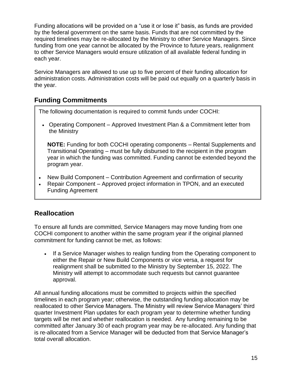Funding allocations will be provided on a "use it or lose it" basis, as funds are provided by the federal government on the same basis. Funds that are not committed by the required timelines may be re-allocated by the Ministry to other Service Managers. Since funding from one year cannot be allocated by the Province to future years, realignment to other Service Managers would ensure utilization of all available federal funding in each year.

Service Managers are allowed to use up to five percent of their funding allocation for administration costs. Administration costs will be paid out equally on a quarterly basis in the year.

### **Funding Commitments**

The following documentation is required to commit funds under COCHI:

• Operating Component – Approved Investment Plan & a Commitment letter from the Ministry

**NOTE:** Funding for both COCHI operating components – Rental Supplements and Transitional Operating – must be fully disbursed to the recipient in the program year in which the funding was committed. Funding cannot be extended beyond the program year.

- New Build Component Contribution Agreement and confirmation of security
- Repair Component Approved project information in TPON, and an executed Funding Agreement

#### **Reallocation**

To ensure all funds are committed, Service Managers may move funding from one COCHI component to another within the same program year if the original planned commitment for funding cannot be met, as follows:

• If a Service Manager wishes to realign funding from the Operating component to either the Repair or New Build Components or vice versa, a request for realignment shall be submitted to the Ministry by September 15, 2022. The Ministry will attempt to accommodate such requests but cannot guarantee approval.

All annual funding allocations must be committed to projects within the specified timelines in each program year; otherwise, the outstanding funding allocation may be reallocated to other Service Managers. The Ministry will review Service Managers' third quarter Investment Plan updates for each program year to determine whether funding targets will be met and whether reallocation is needed. Any funding remaining to be committed after January 30 of each program year may be re-allocated. Any funding that is re-allocated from a Service Manager will be deducted from that Service Manager's total overall allocation.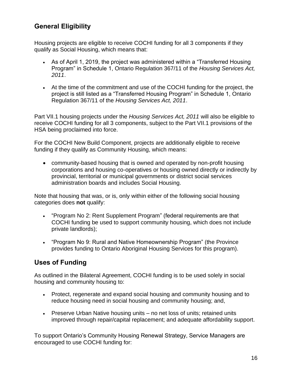### **General Eligibility**

Housing projects are eligible to receive COCHI funding for all 3 components if they qualify as Social Housing, which means that:

- As of April 1, 2019, the project was administered within a "Transferred Housing Program" in Schedule 1, Ontario Regulation 367/11 of the *Housing Services Act, 2011*.
- At the time of the commitment and use of the COCHI funding for the project, the project is still listed as a "Transferred Housing Program" in Schedule 1, Ontario Regulation 367/11 of the *Housing Services Act, 2011*.

Part VII.1 housing projects under the *Housing Services Act, 2011* will also be eligible to receive COCHI funding for all 3 components, subject to the Part VII.1 provisions of the HSA being proclaimed into force.

For the COCHI New Build Component, projects are additionally eligible to receive funding if they qualify as Community Housing, which means:

• community-based housing that is owned and operated by non-profit housing corporations and housing co-operatives or housing owned directly or indirectly by provincial, territorial or municipal governments or district social services administration boards and includes Social Housing.

Note that housing that was, or is, only within either of the following social housing categories does **not** qualify:

- "Program No 2: Rent Supplement Program" (federal requirements are that COCHI funding be used to support community housing, which does not include private landlords);
- "Program No 9: Rural and Native Homeownership Program" (the Province provides funding to Ontario Aboriginal Housing Services for this program).

### **Uses of Funding**

As outlined in the Bilateral Agreement, COCHI funding is to be used solely in social housing and community housing to:

- Protect, regenerate and expand social housing and community housing and to reduce housing need in social housing and community housing; and,
- Preserve Urban Native housing units no net loss of units; retained units improved through repair/capital replacement; and adequate affordability support.

To support Ontario's Community Housing Renewal Strategy, Service Managers are encouraged to use COCHI funding for: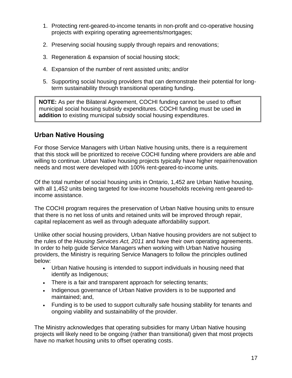- 1. Protecting rent-geared-to-income tenants in non-profit and co-operative housing projects with expiring operating agreements/mortgages;
- 2. Preserving social housing supply through repairs and renovations;
- 3. Regeneration & expansion of social housing stock;
- 4. Expansion of the number of rent assisted units; and/or
- 5. Supporting social housing providers that can demonstrate their potential for longterm sustainability through transitional operating funding.

**NOTE:** As per the Bilateral Agreement, COCHI funding cannot be used to offset municipal social housing subsidy expenditures. COCHI funding must be used **in addition** to existing municipal subsidy social housing expenditures.

### **Urban Native Housing**

For those Service Managers with Urban Native housing units, there is a requirement that this stock will be prioritized to receive COCHI funding where providers are able and willing to continue. Urban Native housing projects typically have higher repair/renovation needs and most were developed with 100% rent-geared-to-income units.

Of the total number of social housing units in Ontario, 1,452 are Urban Native housing, with all 1,452 units being targeted for low-income households receiving rent-geared-toincome assistance.

The COCHI program requires the preservation of Urban Native housing units to ensure that there is no net loss of units and retained units will be improved through repair, capital replacement as well as through adequate affordability support.

Unlike other social housing providers, Urban Native housing providers are not subject to the rules of the *Housing Services Act, 2011* and have their own operating agreements. In order to help guide Service Managers when working with Urban Native housing providers, the Ministry is requiring Service Managers to follow the principles outlined below:

- Urban Native housing is intended to support individuals in housing need that identify as Indigenous;
- There is a fair and transparent approach for selecting tenants;
- Indigenous governance of Urban Native providers is to be supported and maintained; and,
- Funding is to be used to support culturally safe housing stability for tenants and ongoing viability and sustainability of the provider.

The Ministry acknowledges that operating subsidies for many Urban Native housing projects will likely need to be ongoing (rather than transitional) given that most projects have no market housing units to offset operating costs.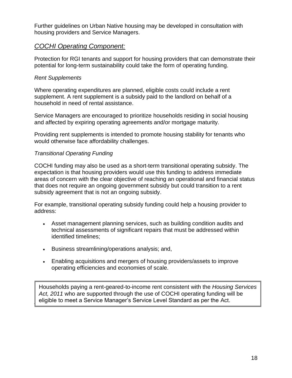Further guidelines on Urban Native housing may be developed in consultation with housing providers and Service Managers.

#### *COCHI Operating Component:*

Protection for RGI tenants and support for housing providers that can demonstrate their potential for long-term sustainability could take the form of operating funding.

#### *Rent Supplements*

Where operating expenditures are planned, eligible costs could include a rent supplement. A rent supplement is a subsidy paid to the landlord on behalf of a household in need of rental assistance.

Service Managers are encouraged to prioritize households residing in social housing and affected by expiring operating agreements and/or mortgage maturity.

Providing rent supplements is intended to promote housing stability for tenants who would otherwise face affordability challenges.

#### *Transitional Operating Funding*

COCHI funding may also be used as a short-term transitional operating subsidy. The expectation is that housing providers would use this funding to address immediate areas of concern with the clear objective of reaching an operational and financial status that does not require an ongoing government subsidy but could transition to a rent subsidy agreement that is not an ongoing subsidy.

For example, transitional operating subsidy funding could help a housing provider to address:

- Asset management planning services, such as building condition audits and technical assessments of significant repairs that must be addressed within identified timelines;
- Business streamlining/operations analysis; and,
- Enabling acquisitions and mergers of housing providers/assets to improve operating efficiencies and economies of scale.

 $\,$  eligible to meet a Service Manager's Service Level Standard as per the Act. Households paying a rent-geared-to-income rent consistent with the *Housing Services Act, 2011* who are supported through the use of COCHI operating funding will be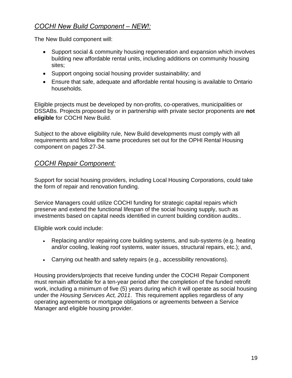### *COCHI New Build Component – NEW!:*

The New Build component will:

- Support social & community housing regeneration and expansion which involves building new affordable rental units, including additions on community housing sites;
- Support ongoing social housing provider sustainability; and
- Ensure that safe, adequate and affordable rental housing is available to Ontario households.

Eligible projects must be developed by non-profits, co-operatives, municipalities or DSSABs. Projects proposed by or in partnership with private sector proponents are **not eligible** for COCHI New Build.

Subject to the above eligibility rule, New Build developments must comply with all requirements and follow the same procedures set out for the OPHI Rental Housing component on pages 27-34.

#### *COCHI Repair Component:*

Support for social housing providers, including Local Housing Corporations, could take the form of repair and renovation funding.

Service Managers could utilize COCHI funding for strategic capital repairs which preserve and extend the functional lifespan of the social housing supply, such as investments based on capital needs identified in current building condition audits..

Eligible work could include:

- Replacing and/or repairing core building systems, and sub-systems (e.g. heating and/or cooling, leaking roof systems, water issues, structural repairs, etc.); and,
- Carrying out health and safety repairs (e.g., accessibility renovations).

Housing providers/projects that receive funding under the COCHI Repair Component must remain affordable for a ten-year period after the completion of the funded retrofit work, including a minimum of five (5) years during which it will operate as social housing under the *Housing Services Act, 2011*. This requirement applies regardless of any operating agreements or mortgage obligations or agreements between a Service Manager and eligible housing provider.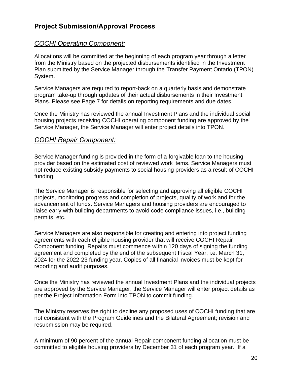#### **Project Submission/Approval Process**

#### *COCHI Operating Component:*

Allocations will be committed at the beginning of each program year through a letter from the Ministry based on the projected disbursements identified in the Investment Plan submitted by the Service Manager through the Transfer Payment Ontario (TPON) System.

Service Managers are required to report-back on a quarterly basis and demonstrate program take-up through updates of their actual disbursements in their Investment Plans. Please see Page 7 for details on reporting requirements and due dates.

Once the Ministry has reviewed the annual Investment Plans and the individual social housing projects receiving COCHI operating component funding are approved by the Service Manager, the Service Manager will enter project details into TPON.

#### *COCHI Repair Component:*

Service Manager funding is provided in the form of a forgivable loan to the housing provider based on the estimated cost of reviewed work items. Service Managers must not reduce existing subsidy payments to social housing providers as a result of COCHI funding.

The Service Manager is responsible for selecting and approving all eligible COCHI projects, monitoring progress and completion of projects, quality of work and for the advancement of funds. Service Managers and housing providers are encouraged to liaise early with building departments to avoid code compliance issues, i.e., building permits, etc.

Service Managers are also responsible for creating and entering into project funding agreements with each eligible housing provider that will receive COCHI Repair Component funding. Repairs must commence within 120 days of signing the funding agreement and completed by the end of the subsequent Fiscal Year, i.e. March 31, 2024 for the 2022-23 funding year. Copies of all financial invoices must be kept for reporting and audit purposes.

Once the Ministry has reviewed the annual Investment Plans and the individual projects are approved by the Service Manager, the Service Manager will enter project details as per the Project Information Form into TPON to commit funding.

The Ministry reserves the right to decline any proposed uses of COCHI funding that are not consistent with the Program Guidelines and the Bilateral Agreement; revision and resubmission may be required.

A minimum of 90 percent of the annual Repair component funding allocation must be committed to eligible housing providers by December 31 of each program year. If a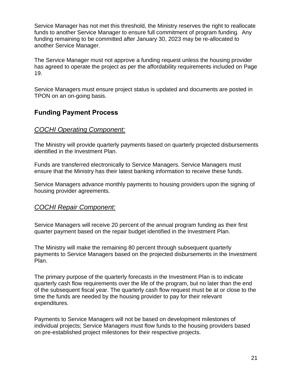Service Manager has not met this threshold, the Ministry reserves the right to reallocate funds to another Service Manager to ensure full commitment of program funding. Any funding remaining to be committed after January 30, 2023 may be re-allocated to another Service Manager.

The Service Manager must not approve a funding request unless the housing provider has agreed to operate the project as per the affordability requirements included on Page 19.

Service Managers must ensure project status is updated and documents are posted in TPON on an on-going basis.

#### **Funding Payment Process**

#### *COCHI Operating Component:*

The Ministry will provide quarterly payments based on quarterly projected disbursements identified in the Investment Plan.

Funds are transferred electronically to Service Managers. Service Managers must ensure that the Ministry has their latest banking information to receive these funds.

Service Managers advance monthly payments to housing providers upon the signing of housing provider agreements.

#### *COCHI Repair Component:*

Service Managers will receive 20 percent of the annual program funding as their first quarter payment based on the repair budget identified in the Investment Plan.

The Ministry will make the remaining 80 percent through subsequent quarterly payments to Service Managers based on the projected disbursements in the Investment Plan.

The primary purpose of the quarterly forecasts in the Investment Plan is to indicate quarterly cash flow requirements over the life of the program, but no later than the end of the subsequent fiscal year. The quarterly cash flow request must be at or close to the time the funds are needed by the housing provider to pay for their relevant expenditures.

Payments to Service Managers will not be based on development milestones of individual projects; Service Managers must flow funds to the housing providers based on pre-established project milestones for their respective projects.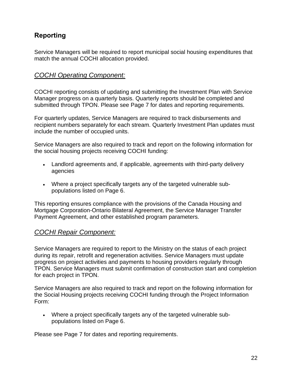### **Reporting**

Service Managers will be required to report municipal social housing expenditures that match the annual COCHI allocation provided.

#### *COCHI Operating Component:*

COCHI reporting consists of updating and submitting the Investment Plan with Service Manager progress on a quarterly basis. Quarterly reports should be completed and submitted through TPON. Please see Page 7 for dates and reporting requirements.

For quarterly updates, Service Managers are required to track disbursements and recipient numbers separately for each stream. Quarterly Investment Plan updates must include the number of occupied units.

Service Managers are also required to track and report on the following information for the social housing projects receiving COCHI funding:

- Landlord agreements and, if applicable, agreements with third-party delivery agencies
- Where a project specifically targets any of the targeted vulnerable subpopulations listed on Page 6.

This reporting ensures compliance with the provisions of the Canada Housing and Mortgage Corporation-Ontario Bilateral Agreement, the Service Manager Transfer Payment Agreement, and other established program parameters.

#### *COCHI Repair Component:*

Service Managers are required to report to the Ministry on the status of each project during its repair, retrofit and regeneration activities. Service Managers must update progress on project activities and payments to housing providers regularly through TPON. Service Managers must submit confirmation of construction start and completion for each project in TPON.

Service Managers are also required to track and report on the following information for the Social Housing projects receiving COCHI funding through the Project Information Form:

• Where a project specifically targets any of the targeted vulnerable subpopulations listed on Page 6.

Please see Page 7 for dates and reporting requirements.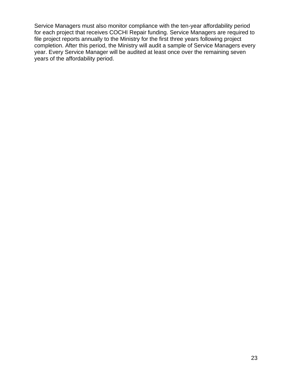Service Managers must also monitor compliance with the ten-year affordability period for each project that receives COCHI Repair funding. Service Managers are required to file project reports annually to the Ministry for the first three years following project completion. After this period, the Ministry will audit a sample of Service Managers every year. Every Service Manager will be audited at least once over the remaining seven years of the affordability period.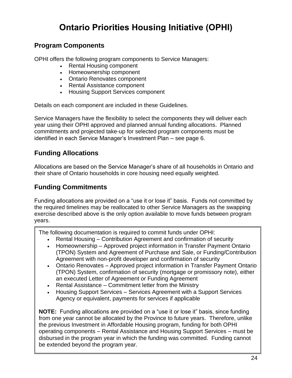# **Ontario Priorities Housing Initiative (OPHI)**

### **Program Components**

OPHI offers the following program components to Service Managers:

- Rental Housing component
- Homeownership component
- Ontario Renovates component
- Rental Assistance component
- Housing Support Services component

Details on each component are included in these Guidelines.

Service Managers have the flexibility to select the components they will deliver each year using their OPHI approved and planned annual funding allocations. Planned commitments and projected take-up for selected program components must be identified in each Service Manager's Investment Plan – see page 6.

### **Funding Allocations**

Allocations are based on the Service Manager's share of all households in Ontario and their share of Ontario households in core housing need equally weighted.

### **Funding Commitments**

I

Funding allocations are provided on a "use it or lose it" basis. Funds not committed by the required timelines may be reallocated to other Service Managers as the swapping exercise described above is the only option available to move funds between program years.

The following documentation is required to commit funds under OPHI:

- Rental Housing Contribution Agreement and confirmation of security
- Homeownership Approved project information in Transfer Payment Ontario (TPON) System and Agreement of Purchase and Sale, or Funding/Contribution Agreement with non-profit developer and confirmation of security
- Ontario Renovates Approved project information in Transfer Payment Ontario (TPON) System, confirmation of security (mortgage or promissory note), either an executed Letter of Agreement or Funding Agreement
- Rental Assistance Commitment letter from the Ministry
- Housing Support Services Services Agreement with a Support Services Agency or equivalent, payments for services if applicable

*Capital Components* operating components – Rental Assistance and Housing Support Services – must be **NOTE:** Funding allocations are provided on a "use it or lose it" basis, since funding from one year cannot be allocated by the Province to future years. Therefore, unlike the previous Investment in Affordable Housing program, funding for both OPHI disbursed in the program year in which the funding was committed. Funding cannot be extended beyond the program year.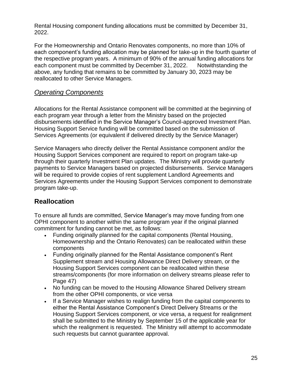Rental Housing component funding allocations must be committed by December 31, 2022.

For the Homeownership and Ontario Renovates components, no more than 10% of each component's funding allocation may be planned for take-up in the fourth quarter of the respective program years. A minimum of 90% of the annual funding allocations for each component must be committed by December 31, 2022. Notwithstanding the above, any funding that remains to be committed by January 30, 2023 may be reallocated to other Service Managers.

#### *Operating Components*

Allocations for the Rental Assistance component will be committed at the beginning of each program year through a letter from the Ministry based on the projected disbursements identified in the Service Manager's Council-approved Investment Plan. Housing Support Service funding will be committed based on the submission of Services Agreements (or equivalent if delivered directly by the Service Manager)

Service Managers who directly deliver the Rental Assistance component and/or the Housing Support Services component are required to report on program take-up through their quarterly Investment Plan updates. The Ministry will provide quarterly payments to Service Managers based on projected disbursements. Service Managers will be required to provide copies of rent supplement Landlord Agreements and Services Agreements under the Housing Support Services component to demonstrate program take-up.

### **Reallocation**

To ensure all funds are committed, Service Manager's may move funding from one OPHI component to another within the same program year if the original planned commitment for funding cannot be met, as follows:

- Funding originally planned for the capital components (Rental Housing, Homeownership and the Ontario Renovates) can be reallocated within these components
- Funding originally planned for the Rental Assistance component's Rent Supplement stream and Housing Allowance Direct Delivery stream, or the Housing Support Services component can be reallocated within these streams/components (for more information on delivery streams please refer to Page 47)
- No funding can be moved to the Housing Allowance Shared Delivery stream from the other OPHI components, or vice versa
- If a Service Manager wishes to realign funding from the capital components to either the Rental Assistance Component's Direct Delivery Streams or the Housing Support Services component, or vice versa, a request for realignment shall be submitted to the Ministry by September 15 of the applicable year for which the realignment is requested. The Ministry will attempt to accommodate such requests but cannot guarantee approval.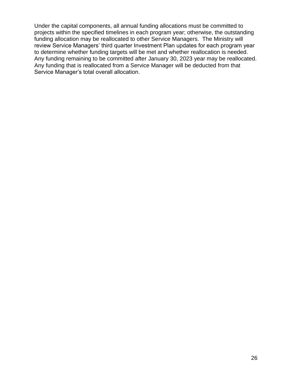Under the capital components, all annual funding allocations must be committed to projects within the specified timelines in each program year; otherwise, the outstanding funding allocation may be reallocated to other Service Managers. The Ministry will review Service Managers' third quarter Investment Plan updates for each program year to determine whether funding targets will be met and whether reallocation is needed. Any funding remaining to be committed after January 30, 2023 year may be reallocated. Any funding that is reallocated from a Service Manager will be deducted from that Service Manager's total overall allocation.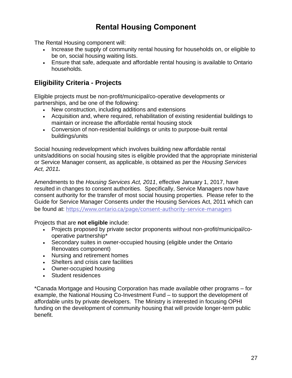# **Rental Housing Component**

The Rental Housing component will:

- Increase the supply of community rental housing for households on, or eligible to be on, social housing waiting lists.
- Ensure that safe, adequate and affordable rental housing is available to Ontario households.

### **Eligibility Criteria - Projects**

Eligible projects must be non-profit/municipal/co-operative developments or partnerships, and be one of the following:

- New construction, including additions and extensions
- Acquisition and, where required, rehabilitation of existing residential buildings to maintain or increase the affordable rental housing stock
- Conversion of non-residential buildings or units to purpose-built rental buildings/units

Social housing redevelopment which involves building new affordable rental units/additions on social housing sites is eligible provided that the appropriate ministerial or Service Manager consent, as applicable, is obtained as per the *Housing Services Act, 2011.*

Amendments to the *Housing Services Act, 2011*, effective January 1, 2017, have resulted in changes to consent authorities. Specifically, Service Managers now have consent authority for the transfer of most social housing properties. Please refer to the Guide for Service Manager Consents under the Housing Services Act, 2011 which can be found at: <https://www.ontario.ca/page/consent-authority-service-managers>

Projects that are **not eligible** include:

- Projects proposed by private sector proponents without non-profit/municipal/cooperative partnership\*
- Secondary suites in owner-occupied housing (eligible under the Ontario Renovates component)
- Nursing and retirement homes
- Shelters and crisis care facilities
- Owner-occupied housing
- Student residences

\*Canada Mortgage and Housing Corporation has made available other programs – for example, the National Housing Co-Investment Fund – to support the development of affordable units by private developers. The Ministry is interested in focusing OPHI funding on the development of community housing that will provide longer-term public benefit.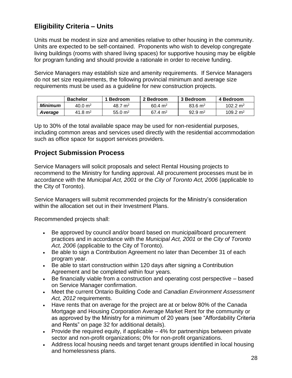### **Eligibility Criteria – Units**

Units must be modest in size and amenities relative to other housing in the community. Units are expected to be self-contained. Proponents who wish to develop congregate living buildings (rooms with shared living spaces) for supportive housing may be eligible for program funding and should provide a rationale in order to receive funding.

Service Managers may establish size and amenity requirements. If Service Managers do not set size requirements, the following provincial minimum and average size requirements must be used as a guideline for new construction projects.

|                | <b>Bachelor</b>    | 1 Bedroom            | 2 Bedroom          | 3 Bedroom          | 4 Bedroom            |
|----------------|--------------------|----------------------|--------------------|--------------------|----------------------|
| <b>Minimum</b> | $40.0 \text{ m}^2$ | 48.7 $m2$            | $60.4 \text{ m}^2$ | $83.6 \text{ m}^2$ | 102.2 m <sup>2</sup> |
| Average        | 41.8 $m2$          | $55.0 \; \text{m}^2$ | $67.4 \text{ m}^2$ | $92.9 \text{ m}^2$ | 109.2 m <sup>2</sup> |

Up to 30% of the total available space may be used for non-residential purposes, including common areas and services used directly with the residential accommodation such as office space for support services providers.

#### **Project Submission Process**

Service Managers will solicit proposals and select Rental Housing projects to recommend to the Ministry for funding approval. All procurement processes must be in accordance with the *Municipal Act, 2001* or the *City of Toronto Act, 2006* (applicable to the City of Toronto).

Service Managers will submit recommended projects for the Ministry's consideration within the allocation set out in their Investment Plans.

Recommended projects shall:

- Be approved by council and/or board based on municipal/board procurement practices and in accordance with the *Municipal Act, 2001* or the *City of Toronto Act, 2006* (applicable to the City of Toronto).
- Be able to sign a Contribution Agreement no later than December 31 of each program year.
- Be able to start construction within 120 days after signing a Contribution Agreement and be completed within four years.
- Be financially viable from a construction and operating cost perspective based on Service Manager confirmation.
- Meet the current Ontario Building Code and *Canadian Environment Assessment Act, 2012* requirements.
- Have rents that on average for the project are at or below 80% of the Canada Mortgage and Housing Corporation Average Market Rent for the community or as approved by the Ministry for a minimum of 20 years (see "Affordability Criteria and Rents" on page 32 for additional details).
- Provide the required equity, if applicable  $-4\%$  for partnerships between private sector and non-profit organizations; 0% for non-profit organizations.
- Address local housing needs and target tenant groups identified in local housing and homelessness plans.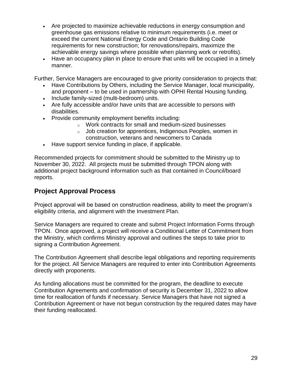- Are projected to maximize achievable reductions in energy consumption and greenhouse gas emissions relative to minimum requirements (i.e. meet or exceed the current National Energy Code and Ontario Building Code requirements for new construction; for renovations/repairs, maximize the achievable energy savings where possible when planning work or retrofits).
- Have an occupancy plan in place to ensure that units will be occupied in a timely manner.

Further, Service Managers are encouraged to give priority consideration to projects that:

- Have Contributions by Others, including the Service Manager, local municipality, and proponent – to be used in partnership with OPHI Rental Housing funding.
- Include family-sized (multi-bedroom) units.
- Are fully accessible and/or have units that are accessible to persons with disabilities.
- Provide community employment benefits including:
	- o Work contracts for small and medium-sized businesses
	- o Job creation for apprentices, Indigenous Peoples, women in construction, veterans and newcomers to Canada
- Have support service funding in place, if applicable.

Recommended projects for commitment should be submitted to the Ministry up to November 30, 2022. All projects must be submitted through TPON along with additional project background information such as that contained in Council/board reports.

#### **Project Approval Process**

Project approval will be based on construction readiness, ability to meet the program's eligibility criteria, and alignment with the Investment Plan.

Service Managers are required to create and submit Project Information Forms through TPON. Once approved, a project will receive a Conditional Letter of Commitment from the Ministry, which confirms Ministry approval and outlines the steps to take prior to signing a Contribution Agreement.

The Contribution Agreement shall describe legal obligations and reporting requirements for the project. All Service Managers are required to enter into Contribution Agreements directly with proponents.

As funding allocations must be committed for the program, the deadline to execute Contribution Agreements and confirmation of security is December 31, 2022 to allow time for reallocation of funds if necessary. Service Managers that have not signed a Contribution Agreement or have not begun construction by the required dates may have their funding reallocated.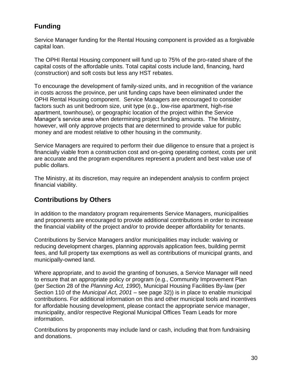### **Funding**

Service Manager funding for the Rental Housing component is provided as a forgivable capital loan.

The OPHI Rental Housing component will fund up to 75% of the pro-rated share of the capital costs of the affordable units. Total capital costs include land, financing, hard (construction) and soft costs but less any HST rebates.

To encourage the development of family-sized units, and in recognition of the variance in costs across the province, per unit funding caps have been eliminated under the OPHI Rental Housing component. Service Managers are encouraged to consider factors such as unit bedroom size, unit type (e.g., low-rise apartment, high-rise apartment, townhouse), or geographic location of the project within the Service Manager's service area when determining project funding amounts. The Ministry, however, will only approve projects that are determined to provide value for public money and are modest relative to other housing in the community.

Service Managers are required to perform their due diligence to ensure that a project is financially viable from a construction cost and on-going operating context, costs per unit are accurate and the program expenditures represent a prudent and best value use of public dollars.

The Ministry, at its discretion, may require an independent analysis to confirm project financial viability.

### **Contributions by Others**

In addition to the mandatory program requirements Service Managers, municipalities and proponents are encouraged to provide additional contributions in order to increase the financial viability of the project and/or to provide deeper affordability for tenants.

Contributions by Service Managers and/or municipalities may include: waiving or reducing development charges, planning approvals application fees, building permit fees, and full property tax exemptions as well as contributions of municipal grants, and municipally-owned land.

Where appropriate, and to avoid the granting of bonuses, a Service Manager will need to ensure that an appropriate policy or program (e.g., Community Improvement Plan (per Section 28 of the *Planning Act, 1990*), Municipal Housing Facilities By-law (per Section 110 of the *Municipal Act, 2001* – see page 32)) is in place to enable municipal contributions. For additional information on this and other municipal tools and incentives for affordable housing development, please contact the appropriate service manager, municipality, and/or respective Regional Municipal Offices Team Leads for more information.

Contributions by proponents may include land or cash, including that from fundraising and donations.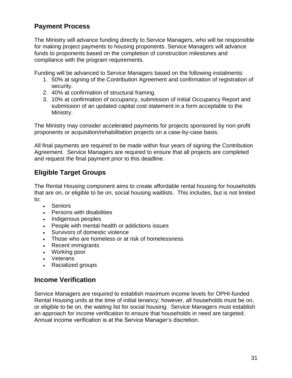### **Payment Process**

The Ministry will advance funding directly to Service Managers, who will be responsible for making project payments to housing proponents. Service Managers will advance funds to proponents based on the completion of construction milestones and compliance with the program requirements.

Funding will be advanced to Service Managers based on the following instalments:

- 1. 50% at signing of the Contribution Agreement and confirmation of registration of security.
- 2. 40% at confirmation of structural framing.
- 3. 10% at confirmation of occupancy, submission of Initial Occupancy Report and submission of an updated capital cost statement in a form acceptable to the Ministry.

The Ministry may consider accelerated payments for projects sponsored by non-profit proponents or acquisition/rehabilitation projects on a case-by-case basis.

All final payments are required to be made within four years of signing the Contribution Agreement. Service Managers are required to ensure that all projects are completed and request the final payment prior to this deadline.

#### **Eligible Target Groups**

The Rental Housing component aims to create affordable rental housing for households that are on, or eligible to be on, social housing waitlists. This includes, but is not limited to:

- Seniors
- Persons with disabilities
- Indigenous peoples
- People with mental health or addictions issues
- Survivors of domestic violence
- Those who are homeless or at risk of homelessness
- Recent immigrants
- Working poor
- Veterans
- Racialized groups

#### **Income Verification**

Service Managers are required to establish maximum income levels for OPHI-funded Rental Housing units at the time of initial tenancy; however, all households must be on, or eligible to be on, the waiting list for social housing. Service Managers must establish an approach for income verification to ensure that households in need are targeted. Annual income verification is at the Service Manager's discretion.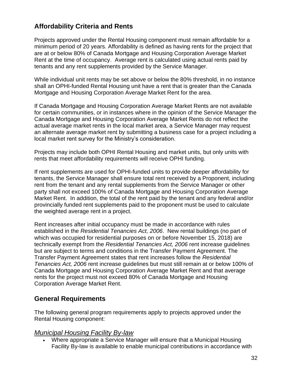### **Affordability Criteria and Rents**

Projects approved under the Rental Housing component must remain affordable for a minimum period of 20 years. Affordability is defined as having rents for the project that are at or below 80% of Canada Mortgage and Housing Corporation Average Market Rent at the time of occupancy. Average rent is calculated using actual rents paid by tenants and any rent supplements provided by the Service Manager.

While individual unit rents may be set above or below the 80% threshold, in no instance shall an OPHI-funded Rental Housing unit have a rent that is greater than the Canada Mortgage and Housing Corporation Average Market Rent for the area.

If Canada Mortgage and Housing Corporation Average Market Rents are not available for certain communities, or in instances where in the opinion of the Service Manager the Canada Mortgage and Housing Corporation Average Market Rents do not reflect the actual average market rents in the local market area, a Service Manager may request an alternate average market rent by submitting a business case for a project including a local market rent survey for the Ministry's consideration.

Projects may include both OPHI Rental Housing and market units, but only units with rents that meet affordability requirements will receive OPHI funding.

If rent supplements are used for OPHI-funded units to provide deeper affordability for tenants, the Service Manager shall ensure total rent received by a Proponent, including rent from the tenant and any rental supplements from the Service Manager or other party shall not exceed 100% of Canada Mortgage and Housing Corporation Average Market Rent. In addition, the total of the rent paid by the tenant and any federal and/or provincially funded rent supplements paid to the proponent must be used to calculate the weighted average rent in a project.

Rent increases after initial occupancy must be made in accordance with rules established in the *Residential Tenancies Act, 2006*. New rental buildings (no part of which was occupied for residential purposes on or before November 15, 2018) are technically exempt from the *Residential Tenancies Act, 2006* rent increase guidelines but are subject to terms and conditions in the Transfer Payment Agreement. The Transfer Payment Agreement states that rent increases follow the *Residential Tenancies Act, 2006* rent increase guidelines but must still remain at or below 100% of Canada Mortgage and Housing Corporation Average Market Rent and that average rents for the project must not exceed 80% of Canada Mortgage and Housing Corporation Average Market Rent.

#### **General Requirements**

The following general program requirements apply to projects approved under the Rental Housing component:

#### *Municipal Housing Facility By-law*

• Where appropriate a Service Manager will ensure that a Municipal Housing Facility By-law is available to enable municipal contributions in accordance with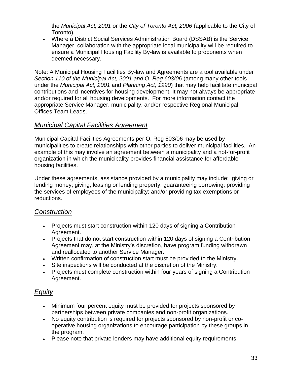the *Municipal Act, 2001* or the *City of Toronto Act, 2006* (applicable to the City of Toronto).

• Where a District Social Services Administration Board (DSSAB) is the Service Manager, collaboration with the appropriate local municipality will be required to ensure a Municipal Housing Facility By-law is available to proponents when deemed necessary.

Note: A Municipal Housing Facilities By-law and Agreements are a tool available under *Section 110 of the Municipal Act, 2001 and O. Reg 603/06* (among many other tools under the *Municipal Act, 2001* and *Planning Act, 1990*) that may help facilitate municipal contributions and incentives for housing development. It may not always be appropriate and/or required for all housing developments. For more information contact the appropriate Service Manager, municipality, and/or respective Regional Municipal Offices Team Leads.

#### *Municipal Capital Facilities Agreement*

Municipal Capital Facilities Agreements per O. Reg 603/06 may be used by municipalities to create relationships with other parties to deliver municipal facilities. An example of this may involve an agreement between a municipality and a not-for-profit organization in which the municipality provides financial assistance for affordable housing facilities.

Under these agreements, assistance provided by a municipality may include: giving or lending money; giving, leasing or lending property; guaranteeing borrowing; providing the services of employees of the municipality; and/or providing tax exemptions or reductions.

#### *Construction*

- Projects must start construction within 120 days of signing a Contribution Agreement.
- Projects that do not start construction within 120 days of signing a Contribution Agreement may, at the Ministry's discretion, have program funding withdrawn and reallocated to another Service Manager.
- Written confirmation of construction start must be provided to the Ministry.
- Site inspections will be conducted at the discretion of the Ministry.
- Projects must complete construction within four years of signing a Contribution Agreement.

### *Equity*

- Minimum four percent equity must be provided for projects sponsored by partnerships between private companies and non-profit organizations.
- No equity contribution is required for projects sponsored by non-profit or cooperative housing organizations to encourage participation by these groups in the program.
- Please note that private lenders may have additional equity requirements.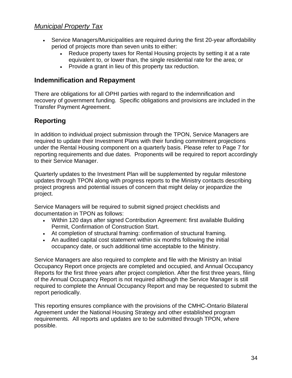#### *Municipal Property Tax*

- Service Managers/Municipalities are required during the first 20-year affordability period of projects more than seven units to either:
	- Reduce property taxes for Rental Housing projects by setting it at a rate equivalent to, or lower than, the single residential rate for the area; or
	- Provide a grant in lieu of this property tax reduction.

#### **Indemnification and Repayment**

There are obligations for all OPHI parties with regard to the indemnification and recovery of government funding. Specific obligations and provisions are included in the Transfer Payment Agreement.

#### **Reporting**

In addition to individual project submission through the TPON, Service Managers are required to update their Investment Plans with their funding commitment projections under the Rental Housing component on a quarterly basis. Please refer to Page 7 for reporting requirements and due dates. Proponents will be required to report accordingly to their Service Manager.

Quarterly updates to the Investment Plan will be supplemented by regular milestone updates through TPON along with progress reports to the Ministry contacts describing project progress and potential issues of concern that might delay or jeopardize the project.

Service Managers will be required to submit signed project checklists and documentation in TPON as follows:

- Within 120 days after signed Contribution Agreement: first available Building Permit, Confirmation of Construction Start.
- At completion of structural framing: confirmation of structural framing.
- An audited capital cost statement within six months following the initial occupancy date, or such additional time acceptable to the Ministry.

Service Managers are also required to complete and file with the Ministry an Initial Occupancy Report once projects are completed and occupied, and Annual Occupancy Reports for the first three years after project completion. After the first three years, filing of the Annual Occupancy Report is not required although the Service Manager is still required to complete the Annual Occupancy Report and may be requested to submit the report periodically.

This reporting ensures compliance with the provisions of the CMHC-Ontario Bilateral Agreement under the National Housing Strategy and other established program requirements. All reports and updates are to be submitted through TPON, where possible.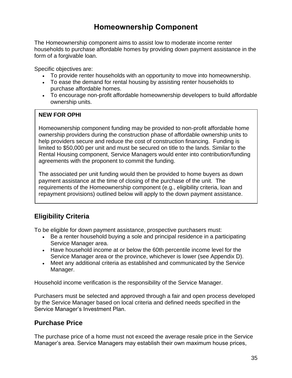## **Homeownership Component**

The Homeownership component aims to assist low to moderate income renter households to purchase affordable homes by providing down payment assistance in the form of a forgivable loan.

Specific objectives are:

- To provide renter households with an opportunity to move into homeownership.
- To ease the demand for rental housing by assisting renter households to purchase affordable homes.
- To encourage non-profit affordable homeownership developers to build affordable ownership units.

#### **NEW FOR OPHI**

Homeownership component funding may be provided to non-profit affordable home ownership providers during the construction phase of affordable ownership units to help providers secure and reduce the cost of construction financing. Funding is limited to \$50,000 per unit and must be secured on title to the lands. Similar to the Rental Housing component, Service Managers would enter into contribution/funding agreements with the proponent to commit the funding.

The associated per unit funding would then be provided to home buyers as down payment assistance at the time of closing of the purchase of the unit. The requirements of the Homeownership component (e.g., eligibility criteria, loan and repayment provisions) outlined below will apply to the down payment assistance.

### **Eligibility Criteria**

To be eligible for down payment assistance, prospective purchasers must:

- Be a renter household buying a sole and principal residence in a participating Service Manager area.
- Have household income at or below the 60th percentile income level for the Service Manager area or the province, whichever is lower (see Appendix D).
- Meet any additional criteria as established and communicated by the Service Manager.

Household income verification is the responsibility of the Service Manager.

Purchasers must be selected and approved through a fair and open process developed by the Service Manager based on local criteria and defined needs specified in the Service Manager's Investment Plan.

### **Purchase Price**

The purchase price of a home must not exceed the average resale price in the Service Manager's area. Service Managers may establish their own maximum house prices,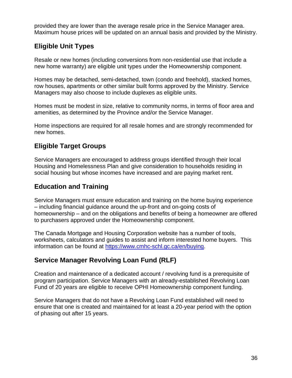provided they are lower than the average resale price in the Service Manager area. Maximum house prices will be updated on an annual basis and provided by the Ministry.

### **Eligible Unit Types**

Resale or new homes (including conversions from non-residential use that include a new home warranty) are eligible unit types under the Homeownership component.

Homes may be detached, semi-detached, town (condo and freehold), stacked homes, row houses, apartments or other similar built forms approved by the Ministry. Service Managers may also choose to include duplexes as eligible units.

Homes must be modest in size, relative to community norms, in terms of floor area and amenities, as determined by the Province and/or the Service Manager.

Home inspections are required for all resale homes and are strongly recommended for new homes.

### **Eligible Target Groups**

Service Managers are encouraged to address groups identified through their local Housing and Homelessness Plan and give consideration to households residing in social housing but whose incomes have increased and are paying market rent.

### **Education and Training**

Service Managers must ensure education and training on the home buying experience – including financial guidance around the up-front and on-going costs of homeownership – and on the obligations and benefits of being a homeowner are offered to purchasers approved under the Homeownership component.

The Canada Mortgage and Housing Corporation website has a number of tools, worksheets, calculators and guides to assist and inform interested home buyers. This information can be found at [https://www.cmhc-schl.gc.ca/en/buying.](https://www.cmhc-schl.gc.ca/en/buying)

### **Service Manager Revolving Loan Fund (RLF)**

Creation and maintenance of a dedicated account / revolving fund is a prerequisite of program participation. Service Managers with an already-established Revolving Loan Fund of 20 years are eligible to receive OPHI Homeownership component funding.

Service Managers that do not have a Revolving Loan Fund established will need to ensure that one is created and maintained for at least a 20-year period with the option of phasing out after 15 years.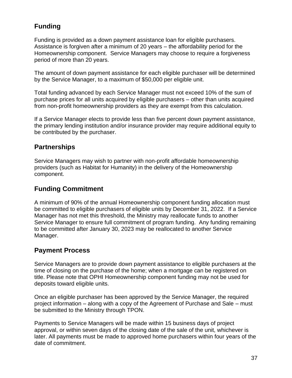### **Funding**

Funding is provided as a down payment assistance loan for eligible purchasers. Assistance is forgiven after a minimum of 20 years – the affordability period for the Homeownership component. Service Managers may choose to require a forgiveness period of more than 20 years.

The amount of down payment assistance for each eligible purchaser will be determined by the Service Manager, to a maximum of \$50,000 per eligible unit.

Total funding advanced by each Service Manager must not exceed 10% of the sum of purchase prices for all units acquired by eligible purchasers – other than units acquired from non-profit homeownership providers as they are exempt from this calculation.

If a Service Manager elects to provide less than five percent down payment assistance, the primary lending institution and/or insurance provider may require additional equity to be contributed by the purchaser.

#### **Partnerships**

Service Managers may wish to partner with non-profit affordable homeownership providers (such as Habitat for Humanity) in the delivery of the Homeownership component.

#### **Funding Commitment**

A minimum of 90% of the annual Homeownership component funding allocation must be committed to eligible purchasers of eligible units by December 31, 2022. If a Service Manager has not met this threshold, the Ministry may reallocate funds to another Service Manager to ensure full commitment of program funding. Any funding remaining to be committed after January 30, 2023 may be reallocated to another Service Manager.

### **Payment Process**

Service Managers are to provide down payment assistance to eligible purchasers at the time of closing on the purchase of the home; when a mortgage can be registered on title. Please note that OPHI Homeownership component funding may not be used for deposits toward eligible units.

Once an eligible purchaser has been approved by the Service Manager, the required project information – along with a copy of the Agreement of Purchase and Sale – must be submitted to the Ministry through TPON.

Payments to Service Managers will be made within 15 business days of project approval, or within seven days of the closing date of the sale of the unit, whichever is later. All payments must be made to approved home purchasers within four years of the date of commitment.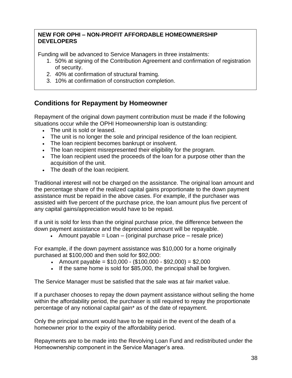#### **NEW FOR OPHI – NON-PROFIT AFFORDABLE HOMEOWNERSHIP DEVELOPERS**

Funding will be advanced to Service Managers in three instalments:

- 1. 50% at signing of the Contribution Agreement and confirmation of registration of security.
- 2. 40% at confirmation of structural framing.
- 3. 10% at confirmation of construction completion.

#### **Conditions for Repayment by Homeowner**

Repayment of the original down payment contribution must be made if the following situations occur while the OPHI Homeownership loan is outstanding:

- The unit is sold or leased.
- The unit is no longer the sole and principal residence of the loan recipient.
- The loan recipient becomes bankrupt or insolvent.
- The loan recipient misrepresented their eligibility for the program.
- The loan recipient used the proceeds of the loan for a purpose other than the acquisition of the unit.
- The death of the loan recipient.

Traditional interest will not be charged on the assistance. The original loan amount and the percentage share of the realized capital gains proportionate to the down payment assistance must be repaid in the above cases. For example, if the purchaser was assisted with five percent of the purchase price, the loan amount plus five percent of any capital gains/appreciation would have to be repaid.

If a unit is sold for less than the original purchase price, the difference between the down payment assistance and the depreciated amount will be repayable.

• Amount payable  $=$  Loan  $-$  (original purchase price  $-$  resale price)

For example, if the down payment assistance was \$10,000 for a home originally purchased at \$100,000 and then sold for \$92,000:

- Amount payable =  $$10,000 ($100,000 $92,000) = $2,000$
- If the same home is sold for \$85,000, the principal shall be forgiven.

The Service Manager must be satisfied that the sale was at fair market value.

If a purchaser chooses to repay the down payment assistance without selling the home within the affordability period, the purchaser is still required to repay the proportionate percentage of any notional capital gain\* as of the date of repayment.

Only the principal amount would have to be repaid in the event of the death of a homeowner prior to the expiry of the affordability period.

Repayments are to be made into the Revolving Loan Fund and redistributed under the Homeownership component in the Service Manager's area.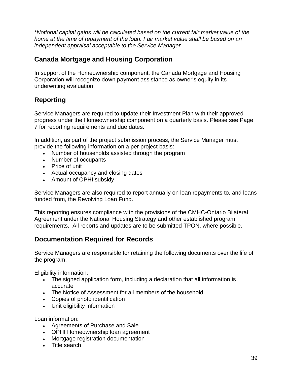*\*Notional capital gains will be calculated based on the current fair market value of the home at the time of repayment of the loan. Fair market value shall be based on an independent appraisal acceptable to the Service Manager.*

#### **Canada Mortgage and Housing Corporation**

In support of the Homeownership component, the Canada Mortgage and Housing Corporation will recognize down payment assistance as owner's equity in its underwriting evaluation.

### **Reporting**

Service Managers are required to update their Investment Plan with their approved progress under the Homeownership component on a quarterly basis. Please see Page 7 for reporting requirements and due dates.

In addition, as part of the project submission process, the Service Manager must provide the following information on a per project basis:

- Number of households assisted through the program
- Number of occupants
- Price of unit
- Actual occupancy and closing dates
- Amount of OPHI subsidy

Service Managers are also required to report annually on loan repayments to, and loans funded from, the Revolving Loan Fund.

This reporting ensures compliance with the provisions of the CMHC-Ontario Bilateral Agreement under the National Housing Strategy and other established program requirements. All reports and updates are to be submitted TPON, where possible.

#### **Documentation Required for Records**

Service Managers are responsible for retaining the following documents over the life of the program:

Eligibility information:

- The signed application form, including a declaration that all information is accurate
- The Notice of Assessment for all members of the household
- Copies of photo identification
- Unit eligibility information

Loan information:

- Agreements of Purchase and Sale
- OPHI Homeownership loan agreement
- Mortgage registration documentation
- Title search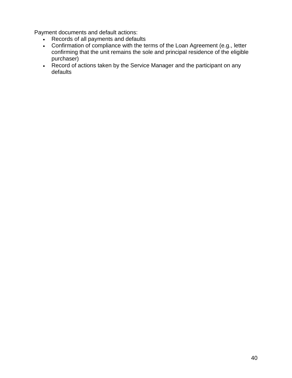Payment documents and default actions:

- Records of all payments and defaults
- Confirmation of compliance with the terms of the Loan Agreement (e.g., letter confirming that the unit remains the sole and principal residence of the eligible purchaser)
- Record of actions taken by the Service Manager and the participant on any defaults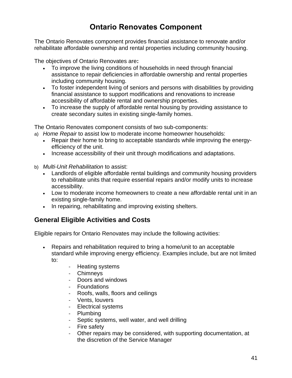# **Ontario Renovates Component**

The Ontario Renovates component provides financial assistance to renovate and/or rehabilitate affordable ownership and rental properties including community housing.

The objectives of Ontario Renovates are**:**

- To improve the living conditions of households in need through financial assistance to repair deficiencies in affordable ownership and rental properties including community housing.
- To foster independent living of seniors and persons with disabilities by providing financial assistance to support modifications and renovations to increase accessibility of affordable rental and ownership properties.
- To increase the supply of affordable rental housing by providing assistance to create secondary suites in existing single-family homes.

The Ontario Renovates component consists of two sub-components:

a) *Home Repair* to assist low to moderate income homeowner households:

- Repair their home to bring to acceptable standards while improving the energyefficiency of the unit.
- Increase accessibility of their unit through modifications and adaptations.
- b) *Multi-Unit Rehabilitation* to assist:
	- Landlords of eligible affordable rental buildings and community housing providers to rehabilitate units that require essential repairs and/or modify units to increase accessibility.
	- Low to moderate income homeowners to create a new affordable rental unit in an existing single-family home.
	- In repairing, rehabilitating and improving existing shelters.

### **General Eligible Activities and Costs**

Eligible repairs for Ontario Renovates may include the following activities:

- Repairs and rehabilitation required to bring a home/unit to an acceptable standard while improving energy efficiency. Examples include, but are not limited to:
	- Heating systems
	- Chimneys
	- Doors and windows
	- Foundations
	- Roofs, walls, floors and ceilings
	- Vents, louvers
	- Electrical systems
	- Plumbing
	- Septic systems, well water, and well drilling
	- Fire safety
	- Other repairs may be considered, with supporting documentation, at the discretion of the Service Manager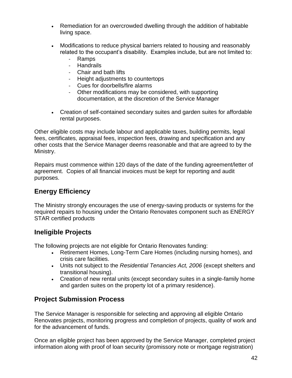- Remediation for an overcrowded dwelling through the addition of habitable living space.
- Modifications to reduce physical barriers related to housing and reasonably related to the occupant's disability. Examples include, but are not limited to:
	- Ramps
	- Handrails
	- Chair and bath lifts
	- Height adjustments to countertops
	- Cues for doorbells/fire alarms
	- Other modifications may be considered, with supporting documentation, at the discretion of the Service Manager
- Creation of self-contained secondary suites and garden suites for affordable rental purposes.

Other eligible costs may include labour and applicable taxes, building permits, legal fees, certificates, appraisal fees, inspection fees, drawing and specification and any other costs that the Service Manager deems reasonable and that are agreed to by the Ministry.

Repairs must commence within 120 days of the date of the funding agreement/letter of agreement. Copies of all financial invoices must be kept for reporting and audit purposes.

### **Energy Efficiency**

The Ministry strongly encourages the use of energy-saving products or systems for the required repairs to housing under the Ontario Renovates component such as ENERGY STAR certified products

### **Ineligible Projects**

The following projects are not eligible for Ontario Renovates funding:

- Retirement Homes, Long-Term Care Homes (including nursing homes), and crisis care facilities.
- Units not subject to the *Residential Tenancies Act, 2006* (except shelters and transitional housing).
- Creation of new rental units (except secondary suites in a single-family home and garden suites on the property lot of a primary residence).

### **Project Submission Process**

The Service Manager is responsible for selecting and approving all eligible Ontario Renovates projects, monitoring progress and completion of projects, quality of work and for the advancement of funds.

Once an eligible project has been approved by the Service Manager, completed project information along with proof of loan security (promissory note or mortgage registration)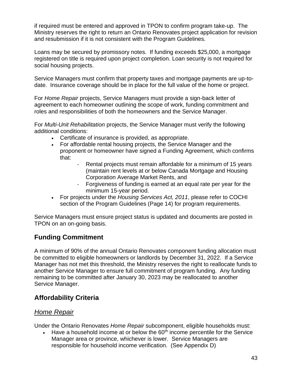if required must be entered and approved in TPON to confirm program take-up. The Ministry reserves the right to return an Ontario Renovates project application for revision and resubmission if it is not consistent with the Program Guidelines.

Loans may be secured by promissory notes. If funding exceeds \$25,000, a mortgage registered on title is required upon project completion. Loan security is not required for social housing projects.

Service Managers must confirm that property taxes and mortgage payments are up-todate. Insurance coverage should be in place for the full value of the home or project.

For *Home Repair* projects, Service Managers must provide a sign-back letter of agreement to each homeowner outlining the scope of work, funding commitment and roles and responsibilities of both the homeowners and the Service Manager.

For *Multi-Unit Rehabilitation* projects, the Service Manager must verify the following additional conditions:

- Certificate of insurance is provided, as appropriate.
- For affordable rental housing projects, the Service Manager and the proponent or homeowner have signed a Funding Agreement, which confirms that:
	- Rental projects must remain affordable for a minimum of 15 years (maintain rent levels at or below Canada Mortgage and Housing Corporation Average Market Rents, and
	- Forgiveness of funding is earned at an equal rate per year for the minimum 15-year period.
- For projects under the *Housing Services Act, 2011*, please refer to COCHI section of the Program Guidelines (Page 14) for program requirements.

Service Managers must ensure project status is updated and documents are posted in TPON on an on-going basis.

### **Funding Commitment**

A minimum of 90% of the annual Ontario Renovates component funding allocation must be committed to eligible homeowners or landlords by December 31, 2022. If a Service Manager has not met this threshold, the Ministry reserves the right to reallocate funds to another Service Manager to ensure full commitment of program funding. Any funding remaining to be committed after January 30, 2023 may be reallocated to another Service Manager.

### **Affordability Criteria**

#### *Home Repair*

Under the Ontario Renovates *Home Repair* subcomponent, eligible households must:

Have a household income at or below the  $60<sup>th</sup>$  income percentile for the Service Manager area or province, whichever is lower. Service Managers are responsible for household income verification. (See Appendix D)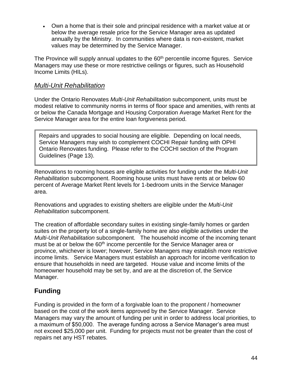• Own a home that is their sole and principal residence with a market value at or below the average resale price for the Service Manager area as updated annually by the Ministry. In communities where data is non-existent, market values may be determined by the Service Manager.

The Province will supply annual updates to the 60<sup>th</sup> percentile income figures. Service Managers may use these or more restrictive ceilings or figures, such as Household Income Limits (HILs).

#### *Multi-Unit Rehabilitation*

Under the Ontario Renovates *Multi-Unit Rehabilitation* subcomponent, units must be modest relative to community norms in terms of floor space and amenities, with rents at or below the Canada Mortgage and Housing Corporation Average Market Rent for the Service Manager area for the entire loan forgiveness period.

Repairs and upgrades to social housing are eligible. Depending on local needs, Service Managers may wish to complement COCHI Repair funding with OPHI Ontario Renovates funding. Please refer to the COCHI section of the Program Guidelines (Page 13).

Renovations to rooming houses are eligible activities for funding under the *Multi-Unit Rehabilitation* subcomponent. Rooming house units must have rents at or below 60 percent of Average Market Rent levels for 1-bedroom units in the Service Manager area.

Renovations and upgrades to existing shelters are eligible under the *Multi-Unit Rehabilitation* subcomponent.

The creation of affordable secondary suites in existing single-family homes or garden suites on the property lot of a single-family home are also eligible activities under the *Multi-Unit Rehabilitation* subcomponent. The household income of the incoming tenant must be at or below the 60<sup>th</sup> income percentile for the Service Manager area or province, whichever is lower; however, Service Managers may establish more restrictive income limits. Service Managers must establish an approach for income verification to ensure that households in need are targeted. House value and income limits of the homeowner household may be set by, and are at the discretion of, the Service Manager.

### **Funding**

Funding is provided in the form of a forgivable loan to the proponent / homeowner based on the cost of the work items approved by the Service Manager. Service Managers may vary the amount of funding per unit in order to address local priorities, to a maximum of \$50,000. The average funding across a Service Manager's area must not exceed \$25,000 per unit. Funding for projects must not be greater than the cost of repairs net any HST rebates.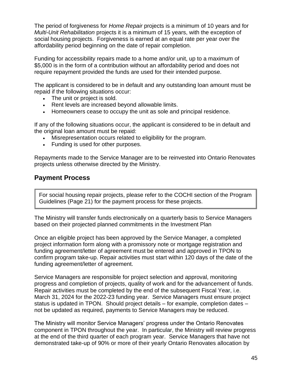The period of forgiveness for *Home Repair* projects is a minimum of 10 years and for *Multi-Unit Rehabilitation* projects it is a minimum of 15 years, with the exception of social housing projects. Forgiveness is earned at an equal rate per year over the affordability period beginning on the date of repair completion.

Funding for accessibility repairs made to a home and/or unit, up to a maximum of \$5,000 is in the form of a contribution without an affordability period and does not require repayment provided the funds are used for their intended purpose.

The applicant is considered to be in default and any outstanding loan amount must be repaid if the following situations occur:

- The unit or project is sold.
- Rent levels are increased beyond allowable limits.
- Homeowners cease to occupy the unit as sole and principal residence.

If any of the following situations occur, the applicant is considered to be in default and the original loan amount must be repaid:

- Misrepresentation occurs related to eligibility for the program.
- Funding is used for other purposes.

Repayments made to the Service Manager are to be reinvested into Ontario Renovates projects unless otherwise directed by the Ministry.

#### **Payment Process**

For social housing repair projects, please refer to the COCHI section of the Program Guidelines (Page 21) for the payment process for these projects.

The Ministry will transfer funds electronically on a quarterly basis to Service Managers based on their projected planned commitments in the Investment Plan

Once an eligible project has been approved by the Service Manager, a completed project information form along with a promissory note or mortgage registration and funding agreement/letter of agreement must be entered and approved in TPON to confirm program take-up. Repair activities must start within 120 days of the date of the funding agreement/letter of agreement.

Service Managers are responsible for project selection and approval, monitoring progress and completion of projects, quality of work and for the advancement of funds. Repair activities must be completed by the end of the subsequent Fiscal Year, i.e. March 31, 2024 for the 2022-23 funding year. Service Managers must ensure project status is updated in TPON. Should project details – for example, completion dates – not be updated as required, payments to Service Managers may be reduced.

The Ministry will monitor Service Managers' progress under the Ontario Renovates component in TPON throughout the year. In particular, the Ministry will review progress at the end of the third quarter of each program year. Service Managers that have not demonstrated take-up of 90% or more of their yearly Ontario Renovates allocation by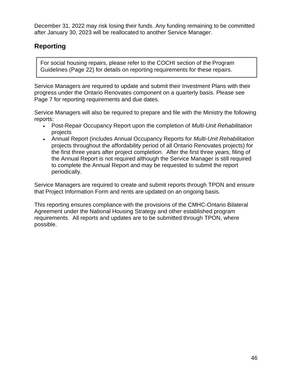December 31, 2022 may risk losing their funds. Any funding remaining to be committed after January 30, 2023 will be reallocated to another Service Manager.

### **Reporting**

For social housing repairs, please refer to the COCHI section of the Program Guidelines (Page 22) for details on reporting requirements for these repairs.

Service Managers are required to update and submit their Investment Plans with their progress under the Ontario Renovates component on a quarterly basis. Please see Page 7 for reporting requirements and due dates.

Service Managers will also be required to prepare and file with the Ministry the following reports:

- Post-Repair Occupancy Report upon the completion of *Multi-Unit Rehabilitation* projects
- Annual Report (includes Annual Occupancy Reports for *Multi-Unit Rehabilitation*  projects throughout the affordability period of all Ontario Renovates projects) for the first three years after project completion. After the first three years, filing of the Annual Report is not required although the Service Manager is still required to complete the Annual Report and may be requested to submit the report periodically.

Service Managers are required to create and submit reports through TPON and ensure that Project Information Form and rents are updated on an ongoing basis.

This reporting ensures compliance with the provisions of the CMHC-Ontario Bilateral Agreement under the National Housing Strategy and other established program requirements. All reports and updates are to be submitted through TPON, where possible.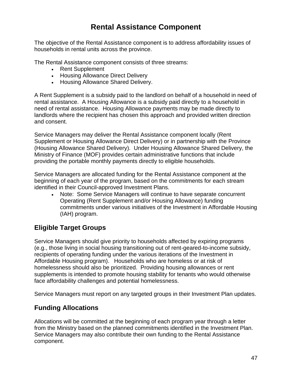## **Rental Assistance Component**

The objective of the Rental Assistance component is to address affordability issues of households in rental units across the province.

The Rental Assistance component consists of three streams:

- Rent Supplement
- Housing Allowance Direct Delivery
- Housing Allowance Shared Delivery.

A Rent Supplement is a subsidy paid to the landlord on behalf of a household in need of rental assistance. A Housing Allowance is a subsidy paid directly to a household in need of rental assistance. Housing Allowance payments may be made directly to landlords where the recipient has chosen this approach and provided written direction and consent.

Service Managers may deliver the Rental Assistance component locally (Rent Supplement or Housing Allowance Direct Delivery) or in partnership with the Province (Housing Allowance Shared Delivery). Under Housing Allowance Shared Delivery, the Ministry of Finance (MOF) provides certain administrative functions that include providing the portable monthly payments directly to eligible households.

Service Managers are allocated funding for the Rental Assistance component at the beginning of each year of the program, based on the commitments for each stream identified in their Council-approved Investment Plans.

• Note: Some Service Managers will continue to have separate concurrent Operating (Rent Supplement and/or Housing Allowance) funding commitments under various initiatives of the Investment in Affordable Housing (IAH) program.

### **Eligible Target Groups**

Service Managers should give priority to households affected by expiring programs (e.g., those living in social housing transitioning out of rent-geared-to-income subsidy, recipients of operating funding under the various iterations of the Investment in Affordable Housing program). Households who are homeless or at risk of homelessness should also be prioritized. Providing housing allowances or rent supplements is intended to promote housing stability for tenants who would otherwise face affordability challenges and potential homelessness.

Service Managers must report on any targeted groups in their Investment Plan updates.

### **Funding Allocations**

Allocations will be committed at the beginning of each program year through a letter from the Ministry based on the planned commitments identified in the Investment Plan. Service Managers may also contribute their own funding to the Rental Assistance component.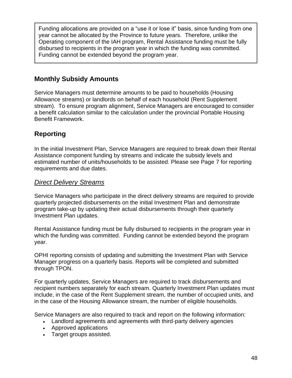Funding allocations are provided on a "use it or lose it" basis, since funding from one year cannot be allocated by the Province to future years. Therefore, unlike the Operating component of the IAH program, Rental Assistance funding must be fully disbursed to recipients in the program year in which the funding was committed. Funding cannot be extended beyond the program year.

### **Monthly Subsidy Amounts**

Service Managers must determine amounts to be paid to households (Housing Allowance streams) or landlords on behalf of each household (Rent Supplement stream). To ensure program alignment, Service Managers are encouraged to consider a benefit calculation similar to the calculation under the provincial Portable Housing Benefit Framework.

### **Reporting**

In the initial Investment Plan, Service Managers are required to break down their Rental Assistance component funding by streams and indicate the subsidy levels and estimated number of units/households to be assisted. Please see Page 7 for reporting requirements and due dates.

#### *Direct Delivery Streams*

Service Managers who participate in the direct delivery streams are required to provide quarterly projected disbursements on the initial Investment Plan and demonstrate program take-up by updating their actual disbursements through their quarterly Investment Plan updates.

Rental Assistance funding must be fully disbursed to recipients in the program year in which the funding was committed. Funding cannot be extended beyond the program year.

OPHI reporting consists of updating and submitting the Investment Plan with Service Manager progress on a quarterly basis. Reports will be completed and submitted through TPON.

For quarterly updates, Service Managers are required to track disbursements and recipient numbers separately for each stream. Quarterly Investment Plan updates must include, in the case of the Rent Supplement stream, the number of occupied units, and in the case of the Housing Allowance stream, the number of eligible households.

Service Managers are also required to track and report on the following information:

- Landlord agreements and agreements with third-party delivery agencies
- Approved applications
- Target groups assisted.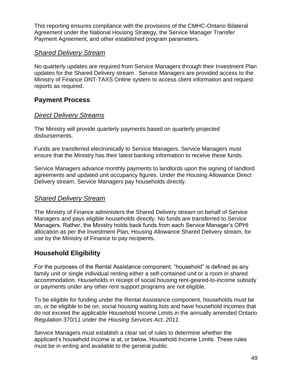This reporting ensures compliance with the provisions of the CMHC-Ontario Bilateral Agreement under the National Housing Strategy, the Service Manager Transfer Payment Agreement, and other established program parameters.

#### *Shared Delivery Stream*

No quarterly updates are required from Service Managers through their Investment Plan updates for the Shared Delivery stream. Service Managers are provided access to the Ministry of Finance ONT-TAXS Online system to access client information and request reports as required.

#### **Payment Process**

#### *Direct Delivery Streams*

The Ministry will provide quarterly payments based on quarterly projected disbursements.

Funds are transferred electronically to Service Managers. Service Managers must ensure that the Ministry has their latest banking information to receive these funds.

Service Managers advance monthly payments to landlords upon the signing of landlord agreements and updated unit occupancy figures. Under the Housing Allowance Direct Delivery stream, Service Managers pay households directly.

#### *Shared Delivery Stream*

The Ministry of Finance administers the Shared Delivery stream on behalf of Service Managers and pays eligible households directly. No funds are transferred to Service Managers. Rather, the Ministry holds back funds from each Service Manager's OPHI allocation as per the Investment Plan, Housing Allowance Shared Delivery stream, for use by the Ministry of Finance to pay recipients.

#### **Household Eligibility**

For the purposes of the Rental Assistance component, "household" is defined as any family unit or single individual renting either a self-contained unit or a room in shared accommodation. Households in receipt of social housing rent-geared-to-income subsidy or payments under any other rent support programs are not eligible.

To be eligible for funding under the Rental Assistance component, households must be on, or be eligible to be on, social housing waiting lists and have household incomes that do not exceed the applicable Household Income Limits in the annually amended Ontario Regulation 370/11 under the *Housing Services Act, 2011*.

Service Managers must establish a clear set of rules to determine whether the applicant's household income is at, or below, Household Income Limits. These rules must be in writing and available to the general public.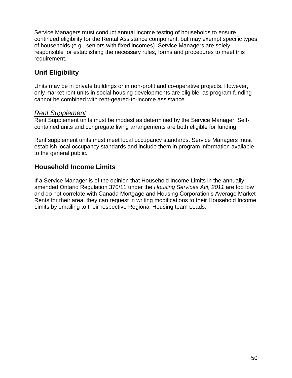Service Managers must conduct annual income testing of households to ensure continued eligibility for the Rental Assistance component, but may exempt specific types of households (e.g., seniors with fixed incomes). Service Managers are solely responsible for establishing the necessary rules, forms and procedures to meet this requirement.

### **Unit Eligibility**

Units may be in private buildings or in non-profit and co-operative projects. However, only market rent units in social housing developments are eligible, as program funding cannot be combined with rent-geared-to-income assistance.

#### *Rent Supplement*

Rent Supplement units must be modest as determined by the Service Manager. Selfcontained units and congregate living arrangements are both eligible for funding.

Rent supplement units must meet local occupancy standards. Service Managers must establish local occupancy standards and include them in program information available to the general public.

### **Household Income Limits**

If a Service Manager is of the opinion that Household Income Limits in the annually amended Ontario Regulation 370/11 under the *Housing Services Act, 2011* are too low and do not correlate with Canada Mortgage and Housing Corporation's Average Market Rents for their area, they can request in writing modifications to their Household Income Limits by emailing to their respective Regional Housing team Leads.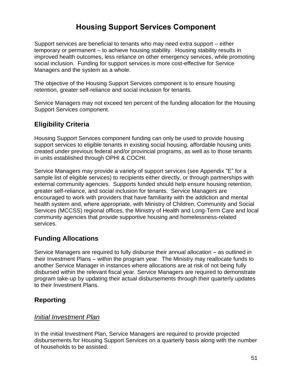## **Housing Support Services Component**

Support services are beneficial to tenants who may need extra support – either temporary or permanent – to achieve housing stability. Housing stability results in improved health outcomes, less reliance on other emergency services, while promoting social inclusion. Funding for support services is more cost-effective for Service Managers and the system as a whole.

The objective of the Housing Support Services component is to ensure housing retention, greater self-reliance and social inclusion for tenants.

Service Managers may not exceed ten percent of the funding allocation for the Housing Support Services component.

### **Eligibility Criteria**

Housing Support Services component funding can only be used to provide housing support services to eligible tenants in existing social housing, affordable housing units created under previous federal and/or provincial programs, as well as to those tenants in units established through OPHI & COCHI.

Service Managers may provide a variety of support services (see Appendix "E" for a sample list of eligible services) to recipients either directly, or through partnerships with external community agencies. Supports funded should help ensure housing retention, greater self-reliance, and social inclusion for tenants. Service Managers are encouraged to work with providers that have familiarity with the addiction and mental health system and, where appropriate, with Ministry of Children, Community and Social Services (MCCSS) regional offices, the Ministry of Health and Long-Term Care and local community agencies that provide supportive housing and homelessness-related services.

### **Funding Allocations**

Service Managers are required to fully disburse their annual allocation – as outlined in their Investment Plans – within the program year. The Ministry may reallocate funds to another Service Manager in instances where allocations are at risk of not being fully disbursed within the relevant fiscal year. Service Managers are required to demonstrate program take-up by updating their actual disbursements through their quarterly updates to their Investment Plans.

### **Reporting**

#### *Initial Investment Plan*

In the initial Investment Plan, Service Managers are required to provide projected disbursements for Housing Support Services on a quarterly basis along with the number of households to be assisted.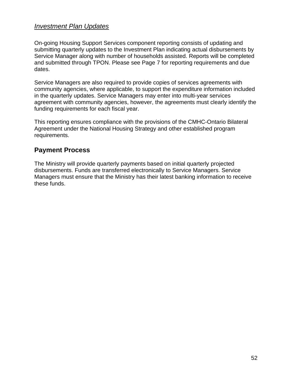#### *Investment Plan Updates*

On-going Housing Support Services component reporting consists of updating and submitting quarterly updates to the Investment Plan indicating actual disbursements by Service Manager along with number of households assisted. Reports will be completed and submitted through TPON. Please see Page 7 for reporting requirements and due dates.

Service Managers are also required to provide copies of services agreements with community agencies, where applicable, to support the expenditure information included in the quarterly updates. Service Managers may enter into multi-year services agreement with community agencies, however, the agreements must clearly identify the funding requirements for each fiscal year.

This reporting ensures compliance with the provisions of the CMHC-Ontario Bilateral Agreement under the National Housing Strategy and other established program requirements.

#### **Payment Process**

The Ministry will provide quarterly payments based on initial quarterly projected disbursements. Funds are transferred electronically to Service Managers. Service Managers must ensure that the Ministry has their latest banking information to receive these funds.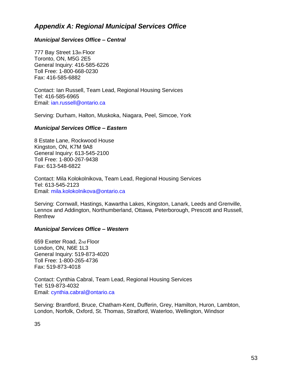#### *Appendix A: Regional Municipal Services Office*

#### *Municipal Services Office – Central*

777 Bay Street 13th Floor Toronto, ON, M5G 2E5 General Inquiry: 416-585-6226 Toll Free: 1-800-668-0230 Fax: 416-585-6882

Contact: Ian Russell, Team Lead, Regional Housing Services Tel: 416-585-6965 Email: ian.russell@ontario.ca

Serving: Durham, Halton, Muskoka, Niagara, Peel, Simcoe, York

#### *Municipal Services Office – Eastern*

8 Estate Lane, Rockwood House Kingston, ON, K7M 9A8 General Inquiry: 613-545-2100 Toll Free: 1-800-267-9438 Fax: 613-548-6822

Contact: Mila Kolokolnikova, Team Lead, Regional Housing Services Tel: 613-545-2123 Email: mila.kolokolnikova@ontario.ca

Serving: Cornwall, Hastings, Kawartha Lakes, Kingston, Lanark, Leeds and Grenville, Lennox and Addington, Northumberland, Ottawa, Peterborough, Prescott and Russell, Renfrew

#### *Municipal Services Office – Western*

659 Exeter Road, 2nd Floor London, ON, N6E 1L3 General Inquiry: 519-873-4020 Toll Free: 1-800-265-4736 Fax: 519-873-4018

Contact: Cynthia Cabral, Team Lead, Regional Housing Services Tel: 519-873-4032 Email: cynthia.cabral@ontario.ca

Serving: Brantford, Bruce, Chatham-Kent, Dufferin, Grey, Hamilton, Huron, Lambton, London, Norfolk, Oxford, St. Thomas, Stratford, Waterloo, Wellington, Windsor

35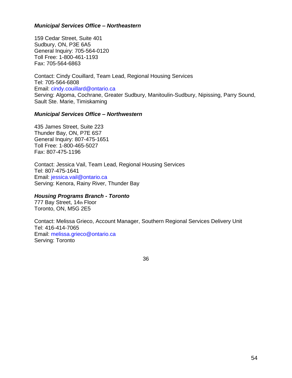#### *Municipal Services Office – Northeastern*

159 Cedar Street, Suite 401 Sudbury, ON, P3E 6A5 General Inquiry: 705-564-0120 Toll Free: 1-800-461-1193 Fax: 705-564-6863

Contact: Cindy Couillard, Team Lead, Regional Housing Services Tel: 705-564-6808 Email: cindy.couillard@ontario.ca Serving: Algoma, Cochrane, Greater Sudbury, Manitoulin-Sudbury, Nipissing, Parry Sound, Sault Ste. Marie, Timiskaming

#### *Municipal Services Office – Northwestern*

435 James Street, Suite 223 Thunder Bay, ON, P7E 6S7 General Inquiry: 807-475-1651 Toll Free: 1-800-465-5027 Fax: 807-475-1196

Contact: Jessica Vail, Team Lead, Regional Housing Services Tel: 807-475-1641 Email: jessica.vail@ontario.ca Serving: Kenora, Rainy River, Thunder Bay

#### *Housing Programs Branch - Toronto*

777 Bay Street, 14th Floor Toronto, ON, M5G 2E5

Contact: Melissa Grieco, Account Manager, Southern Regional Services Delivery Unit Tel: 416-414-7065 Email: melissa.grieco@ontario.ca Serving: Toronto

36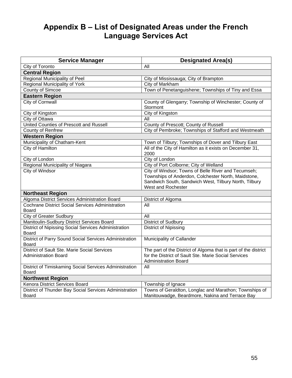## **Appendix B – List of Designated Areas under the French Language Services Act**

| <b>Service Manager</b>                                  | <b>Designated Area(s)</b>                                          |  |  |
|---------------------------------------------------------|--------------------------------------------------------------------|--|--|
| City of Toronto                                         | All                                                                |  |  |
| <b>Central Region</b>                                   |                                                                    |  |  |
| Regional Municipality of Peel                           | City of Mississauga; City of Brampton                              |  |  |
| Regional Municipality of York                           | City of Markham                                                    |  |  |
| County of Simcoe                                        | Town of Penetanguishene; Townships of Tiny and Essa                |  |  |
| <b>Eastern Region</b>                                   |                                                                    |  |  |
| City of Cornwall                                        | County of Glengarry; Township of Winchester; County of<br>Stormont |  |  |
| City of Kingston                                        | City of Kingston                                                   |  |  |
| City of Ottawa                                          | All                                                                |  |  |
| United Counties of Prescott and Russell                 | County of Prescott; County of Russell                              |  |  |
| County of Renfrew                                       | City of Pembroke; Townships of Stafford and Westmeath              |  |  |
| <b>Western Region</b>                                   |                                                                    |  |  |
| Municipality of Chatham-Kent                            | Town of Tilbury; Townships of Dover and Tilbury East               |  |  |
| City of Hamilton                                        | All of the City of Hamilton as it exists on December 31,<br>2000   |  |  |
| City of London                                          | City of London                                                     |  |  |
| Regional Municipality of Niagara                        | City of Port Colborne; City of Welland                             |  |  |
| <b>City of Windsor</b>                                  | City of Windsor; Towns of Belle River and Tecumseh;                |  |  |
|                                                         | Townships of Anderdon, Colchester North, Maidstone,                |  |  |
|                                                         | Sandwich South, Sandwich West, Tilbury North, Tilbury              |  |  |
|                                                         | West and Rochester                                                 |  |  |
| <b>Northeast Region</b>                                 |                                                                    |  |  |
| Algoma District Services Administration Board           | District of Algoma                                                 |  |  |
| <b>Cochrane District Social Services Administration</b> | All                                                                |  |  |
| Board                                                   |                                                                    |  |  |
| <b>City of Greater Sudbury</b>                          | All                                                                |  |  |
| Manitoulin-Sudbury District Services Board              | District of Sudbury                                                |  |  |
| District of Nipissing Social Services Administration    | <b>District of Nipissing</b>                                       |  |  |
| <b>Board</b>                                            |                                                                    |  |  |
| District of Parry Sound Social Services Administration  | Municipality of Callander                                          |  |  |
| <b>Board</b>                                            |                                                                    |  |  |
| District of Sault Ste. Marie Social Services            | The part of the District of Algoma that is part of the district    |  |  |
| <b>Administration Board</b>                             | for the District of Sault Ste. Marie Social Services               |  |  |
|                                                         | <b>Administration Board</b>                                        |  |  |
| District of Timiskaming Social Services Administration  | All                                                                |  |  |
| <b>Board</b>                                            |                                                                    |  |  |
| <b>Northwest Region</b>                                 |                                                                    |  |  |
| Kenora District Services Board                          | Township of Ignace                                                 |  |  |
| District of Thunder Bay Social Services Administration  | Towns of Geraldton, Longlac and Marathon; Townships of             |  |  |
| Board                                                   | Manitouwadge, Beardmore, Nakina and Terrace Bay                    |  |  |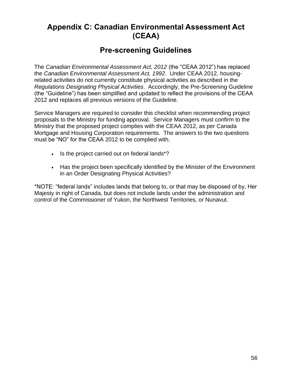## **Appendix C: Canadian Environmental Assessment Act (CEAA)**

### **Pre-screening Guidelines**

The *Canadian Environmental Assessment Act, 2012* (the "CEAA 2012") has replaced the *Canadian Environmental Assessment Act, 1992*. Under CEAA 2012, housingrelated activities do not currently constitute physical activities as described in the *Regulations Designating Physical Activities*. Accordingly, the Pre-Screening Guideline (the "Guideline") has been simplified and updated to reflect the provisions of the CEAA 2012 and replaces all previous versions of the Guideline.

Service Managers are required to consider this checklist when recommending project proposals to the Ministry for funding approval. Service Managers must confirm to the Ministry that the proposed project complies with the CEAA 2012, as per Canada Mortgage and Housing Corporation requirements. The answers to the two questions must be "NO" for the CEAA 2012 to be complied with.

- Is the project carried out on federal lands\*?
- Has the project been specifically identified by the Minister of the Environment in an Order Designating Physical Activities?

\*NOTE: "federal lands" includes lands that belong to, or that may be disposed of by, Her Majesty in right of Canada, but does not include lands under the administration and control of the Commissioner of Yukon, the Northwest Territories, or Nunavut.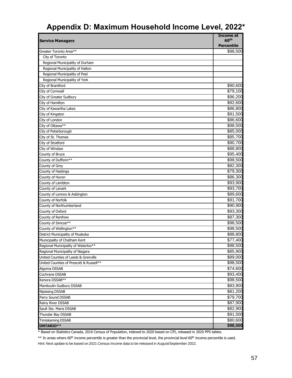# **Appendix D: Maximum Household Income Level, 2022\***

| <b>Service Managers</b>                 | Income at<br>60 <sup>th</sup> |
|-----------------------------------------|-------------------------------|
|                                         | <b>Percentile</b>             |
| Greater Toronto Area**                  | \$98,500                      |
| City of Toronto                         |                               |
| Regional Municipality of Durham         |                               |
| Regional Municipality of Halton         |                               |
| Regional Municipality of Peel           |                               |
| Regional Municipality of York           |                               |
| City of Brantford                       | \$90,600                      |
| City of Cornwall                        | \$79,100                      |
| City of Greater Sudbury                 | \$96,200                      |
| City of Hamilton                        | \$92,600                      |
| City of Kawartha Lakes                  | \$86,800                      |
| City of Kingston                        | \$91,500                      |
| City of London                          | \$86,600                      |
| City of Ottawa**                        | \$98,500                      |
| City of Peterborough                    | \$85,000                      |
| City of St. Thomas                      | \$85,700                      |
| City of Stratford                       | \$90,700                      |
| City of Windsor                         | \$88,800                      |
| County of Bruce                         | \$95,400                      |
| County of Dufferin**                    | \$98,500                      |
| County of Grey                          | \$82,300                      |
| County of Hastings                      | \$79,300                      |
| County of Huron                         | \$86,300                      |
| County of Lambton                       | \$93,900                      |
| County of Lanark                        | \$93,700                      |
| County of Lennox & Addington            | \$89,600                      |
| County of Norfolk                       | \$91,700                      |
| County of Northumberland                | \$90,900                      |
| County of Oxford                        | \$93,300                      |
| County of Renfrew                       | \$87,300                      |
| County of Simcoe**                      | $\overline{$}98,500$          |
| County of Wellington**                  | $\overline{$}98,500$          |
| District Municipality of Muskoka        | \$88,800                      |
| Municipality of Chatham Kent            | \$77,400                      |
| Regional Municipality of Waterloo**     | \$98,500                      |
| Regional Municipality of Niagara        | \$85,900                      |
| United Counties of Leeds & Grenville    | \$89,000                      |
| United Counties of Prescott & Russell** | \$98,500                      |
| Algoma DSSAB                            | \$74,600                      |
| Cochrane DSSAB                          | \$93,400                      |
| Kenora DSSAB**                          | \$98,500                      |
| Manitoulin-Sudbury DSSAB                | \$83,900                      |
| Nipissing DSSAB                         | \$81,200                      |
| Parry Sound DSSAB                       | \$79,700                      |
| Rainy River DSSAB                       | \$87,900                      |
| Sault Ste. Marie DSSAB                  | \$82,900                      |
| Thunder Bay DSSAB                       | \$91,500                      |
| Timiskaming DSSAB                       | \$80,600                      |
| ONTARIO**                               | \$98,500                      |

\* Based on Statistics Canada, 2016 Census of Population, indexed to 2020 based on CPI, released in 2020 PPS tables.

\*\* In areas where 60<sup>th</sup> income percentile is greater than the provincial level, the provincial level 60<sup>th</sup> income percentile is used. Hint: Next update to be based on 2021 Census Income data to be released in August/September 2022.